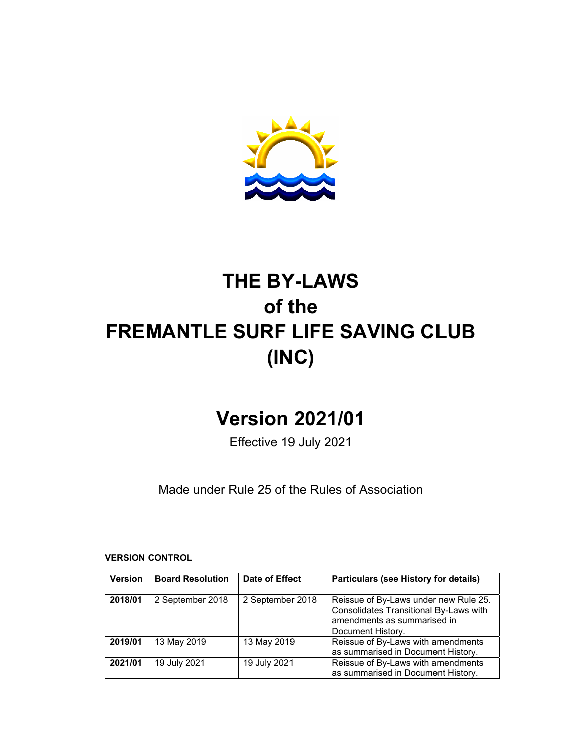

# **THE BY-LAWS of the FREMANTLE SURF LIFE SAVING CLUB (INC)**

# **Version 2021/01**

Effective 19 July 2021

Made under Rule 25 of the Rules of Association

**VERSION CONTROL** 

| <b>Version</b> | <b>Board Resolution</b> | Date of Effect   | Particulars (see History for details)                                                                                               |
|----------------|-------------------------|------------------|-------------------------------------------------------------------------------------------------------------------------------------|
| 2018/01        | 2 September 2018        | 2 September 2018 | Reissue of By-Laws under new Rule 25.<br>Consolidates Transitional By-Laws with<br>amendments as summarised in<br>Document History. |
| 2019/01        | 13 May 2019             | 13 May 2019      | Reissue of By-Laws with amendments<br>as summarised in Document History.                                                            |
| 2021/01        | 19 July 2021            | 19 July 2021     | Reissue of By-Laws with amendments<br>as summarised in Document History.                                                            |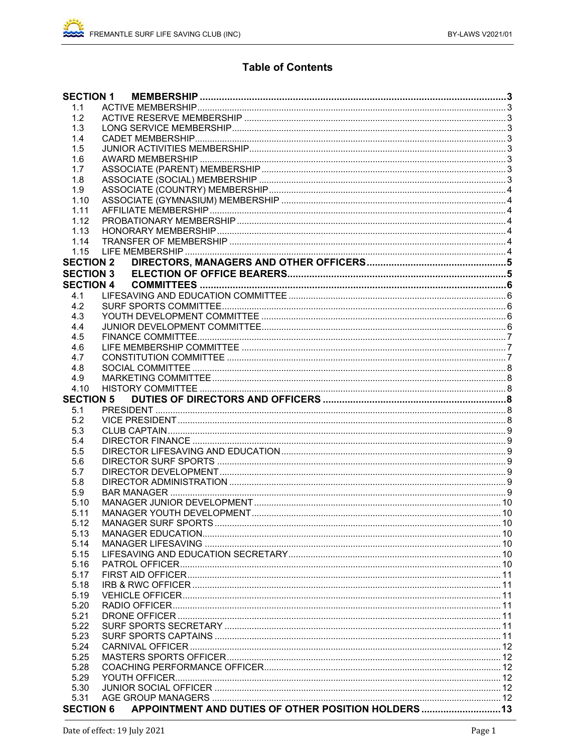## **Table of Contents**

| <b>SECTION 1</b> |                                                      |  |
|------------------|------------------------------------------------------|--|
| 1.1              |                                                      |  |
| 1.2              |                                                      |  |
| 1.3              |                                                      |  |
| 1.4              |                                                      |  |
| 1.5              |                                                      |  |
| 1.6              |                                                      |  |
| 1.7              |                                                      |  |
| 1.8              |                                                      |  |
| 1.9              |                                                      |  |
| 1.10             |                                                      |  |
| 1.11             |                                                      |  |
| 1.12             |                                                      |  |
| 1.13             |                                                      |  |
| 1.14             |                                                      |  |
| 1.15             |                                                      |  |
| <b>SECTION 2</b> |                                                      |  |
|                  |                                                      |  |
| <b>SECTION 3</b> |                                                      |  |
| <b>SECTION 4</b> |                                                      |  |
| 4.1              |                                                      |  |
| 4.2              |                                                      |  |
| 4.3              |                                                      |  |
| 4.4              |                                                      |  |
| 4.5              |                                                      |  |
| 4.6              |                                                      |  |
| 4.7              |                                                      |  |
| 4.8              |                                                      |  |
| 4.9              |                                                      |  |
| 4.10             |                                                      |  |
| <b>SECTION 5</b> |                                                      |  |
| 5.1              |                                                      |  |
| 5.2              |                                                      |  |
| 5.3              |                                                      |  |
| 5.4              |                                                      |  |
| 5.5              |                                                      |  |
| 5.6              |                                                      |  |
| 5.7              |                                                      |  |
| 5.8              |                                                      |  |
| 5.9              |                                                      |  |
| 5.10             |                                                      |  |
| 5.11             |                                                      |  |
| 5.12             |                                                      |  |
| 5.13             |                                                      |  |
| 5.14             |                                                      |  |
|                  |                                                      |  |
| 5.15             |                                                      |  |
| 5.16             |                                                      |  |
| 5.17             |                                                      |  |
| 5.18             |                                                      |  |
| 5.19             |                                                      |  |
| 5.20             |                                                      |  |
| 5.21             |                                                      |  |
| 5.22             |                                                      |  |
| 5.23             |                                                      |  |
| 5.24             |                                                      |  |
| 5.25             |                                                      |  |
| 5.28             |                                                      |  |
| 5.29             |                                                      |  |
| 5.30             |                                                      |  |
| 5.31             |                                                      |  |
| <b>SECTION 6</b> | APPOINTMENT AND DUTIES OF OTHER POSITION HOLDERS  13 |  |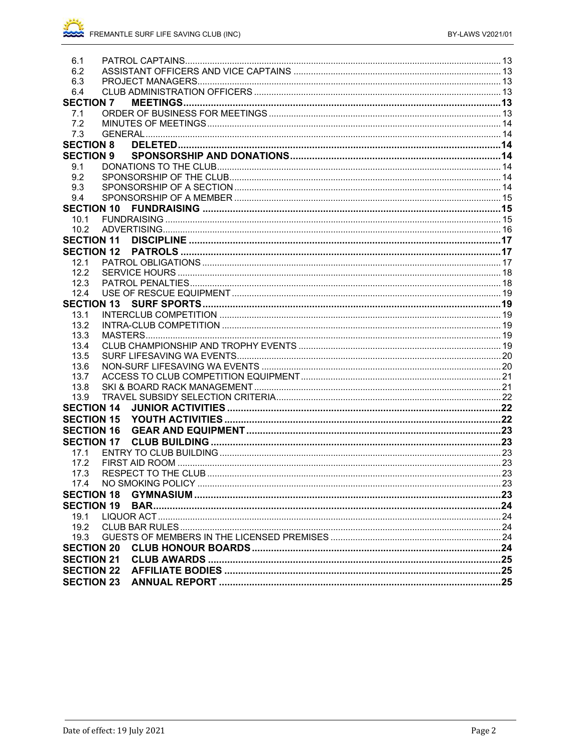| 6.1               |  |
|-------------------|--|
| 6.2               |  |
| 6.3               |  |
| 6.4               |  |
| <b>SECTION 7</b>  |  |
| 7.1               |  |
| 7.2               |  |
| 7.3               |  |
| <b>SECTION 8</b>  |  |
| <b>SECTION 9</b>  |  |
| 9.1               |  |
| 9.2               |  |
| 9.3               |  |
| 9.4               |  |
| <b>SECTION 10</b> |  |
| 10.1              |  |
| 10.2              |  |
| <b>SECTION 11</b> |  |
| <b>SECTION 12</b> |  |
| 12.1              |  |
| 12.2              |  |
| 12.3              |  |
| 12.4              |  |
| <b>SECTION 13</b> |  |
| 13.1              |  |
| 13.2              |  |
| 13.3              |  |
| 13.4              |  |
| 13.5              |  |
| 13.6              |  |
| 13.7              |  |
| 13.8              |  |
| 13.9              |  |
| <b>SECTION 14</b> |  |
| <b>SECTION 15</b> |  |
| <b>SECTION 16</b> |  |
|                   |  |
| 17.1              |  |
| 17.2              |  |
| 17.3              |  |
|                   |  |
| <b>SECTION 18</b> |  |
| <b>SECTION 19</b> |  |
| 19.1              |  |
| 19.2              |  |
| 19.3              |  |
| <b>SECTION 20</b> |  |
| <b>SECTION 21</b> |  |
|                   |  |
| <b>SECTION 22</b> |  |
|                   |  |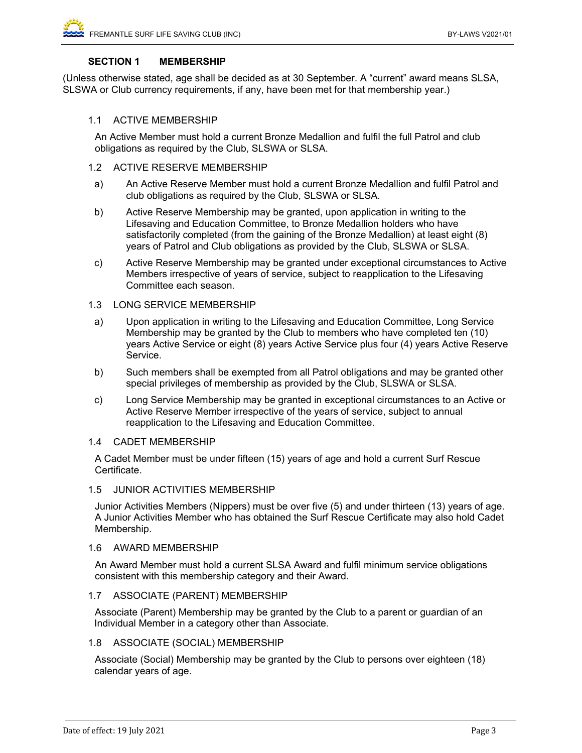## **SECTION 1 MEMBERSHIP**

(Unless otherwise stated, age shall be decided as at 30 September. A "current" award means SLSA, SLSWA or Club currency requirements, if any, have been met for that membership year.)

#### 1.1 ACTIVE MEMBERSHIP

An Active Member must hold a current Bronze Medallion and fulfil the full Patrol and club obligations as required by the Club, SLSWA or SLSA.

- 1.2 ACTIVE RESERVE MEMBERSHIP
- a) An Active Reserve Member must hold a current Bronze Medallion and fulfil Patrol and club obligations as required by the Club, SLSWA or SLSA.
- b) Active Reserve Membership may be granted, upon application in writing to the Lifesaving and Education Committee, to Bronze Medallion holders who have satisfactorily completed (from the gaining of the Bronze Medallion) at least eight (8) years of Patrol and Club obligations as provided by the Club, SLSWA or SLSA.
- c) Active Reserve Membership may be granted under exceptional circumstances to Active Members irrespective of years of service, subject to reapplication to the Lifesaving Committee each season.

## 1.3 LONG SERVICE MEMBERSHIP

- a) Upon application in writing to the Lifesaving and Education Committee, Long Service Membership may be granted by the Club to members who have completed ten (10) years Active Service or eight (8) years Active Service plus four (4) years Active Reserve Service.
- b) Such members shall be exempted from all Patrol obligations and may be granted other special privileges of membership as provided by the Club, SLSWA or SLSA.
- c) Long Service Membership may be granted in exceptional circumstances to an Active or Active Reserve Member irrespective of the years of service, subject to annual reapplication to the Lifesaving and Education Committee.

#### 1.4 CADET MEMBERSHIP

A Cadet Member must be under fifteen (15) years of age and hold a current Surf Rescue Certificate.

#### 1.5 JUNIOR ACTIVITIES MEMBERSHIP

 Junior Activities Members (Nippers) must be over five (5) and under thirteen (13) years of age. A Junior Activities Member who has obtained the Surf Rescue Certificate may also hold Cadet Membership.

#### 1.6 AWARD MEMBERSHIP

An Award Member must hold a current SLSA Award and fulfil minimum service obligations consistent with this membership category and their Award.

#### 1.7 ASSOCIATE (PARENT) MEMBERSHIP

Associate (Parent) Membership may be granted by the Club to a parent or guardian of an Individual Member in a category other than Associate.

## 1.8 ASSOCIATE (SOCIAL) MEMBERSHIP

Associate (Social) Membership may be granted by the Club to persons over eighteen (18) calendar years of age.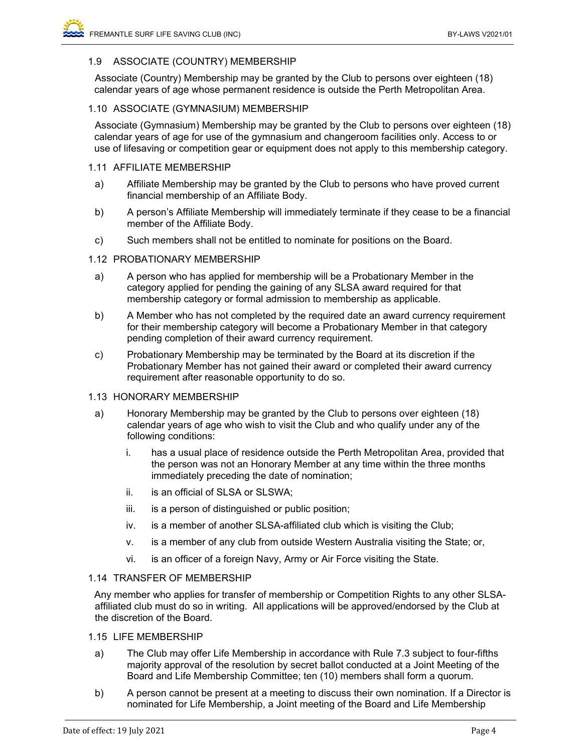## 1.9 ASSOCIATE (COUNTRY) MEMBERSHIP

Associate (Country) Membership may be granted by the Club to persons over eighteen (18) calendar years of age whose permanent residence is outside the Perth Metropolitan Area.

## 1.10 ASSOCIATE (GYMNASIUM) MEMBERSHIP

Associate (Gymnasium) Membership may be granted by the Club to persons over eighteen (18) calendar years of age for use of the gymnasium and changeroom facilities only. Access to or use of lifesaving or competition gear or equipment does not apply to this membership category.

## 1.11 AFFILIATE MEMBERSHIP

- a) Affiliate Membership may be granted by the Club to persons who have proved current financial membership of an Affiliate Body.
- b) A person's Affiliate Membership will immediately terminate if they cease to be a financial member of the Affiliate Body.
- c) Such members shall not be entitled to nominate for positions on the Board.

## 1.12 PROBATIONARY MEMBERSHIP

- a) A person who has applied for membership will be a Probationary Member in the category applied for pending the gaining of any SLSA award required for that membership category or formal admission to membership as applicable.
- b) A Member who has not completed by the required date an award currency requirement for their membership category will become a Probationary Member in that category pending completion of their award currency requirement.
- c) Probationary Membership may be terminated by the Board at its discretion if the Probationary Member has not gained their award or completed their award currency requirement after reasonable opportunity to do so.

#### 1.13 HONORARY MEMBERSHIP

- a) Honorary Membership may be granted by the Club to persons over eighteen (18) calendar years of age who wish to visit the Club and who qualify under any of the following conditions:
	- i. has a usual place of residence outside the Perth Metropolitan Area, provided that the person was not an Honorary Member at any time within the three months immediately preceding the date of nomination;
	- ii. is an official of SLSA or SLSWA;
	- iii. is a person of distinguished or public position;
	- iv. is a member of another SLSA-affiliated club which is visiting the Club;
	- v. is a member of any club from outside Western Australia visiting the State; or,
	- vi. is an officer of a foreign Navy, Army or Air Force visiting the State.

#### 1.14 TRANSFER OF MEMBERSHIP

Any member who applies for transfer of membership or Competition Rights to any other SLSAaffiliated club must do so in writing. All applications will be approved/endorsed by the Club at the discretion of the Board.

## 1.15 LIFE MEMBERSHIP

- a) The Club may offer Life Membership in accordance with Rule 7.3 subject to four-fifths majority approval of the resolution by secret ballot conducted at a Joint Meeting of the Board and Life Membership Committee; ten (10) members shall form a quorum.
- b) A person cannot be present at a meeting to discuss their own nomination. If a Director is nominated for Life Membership, a Joint meeting of the Board and Life Membership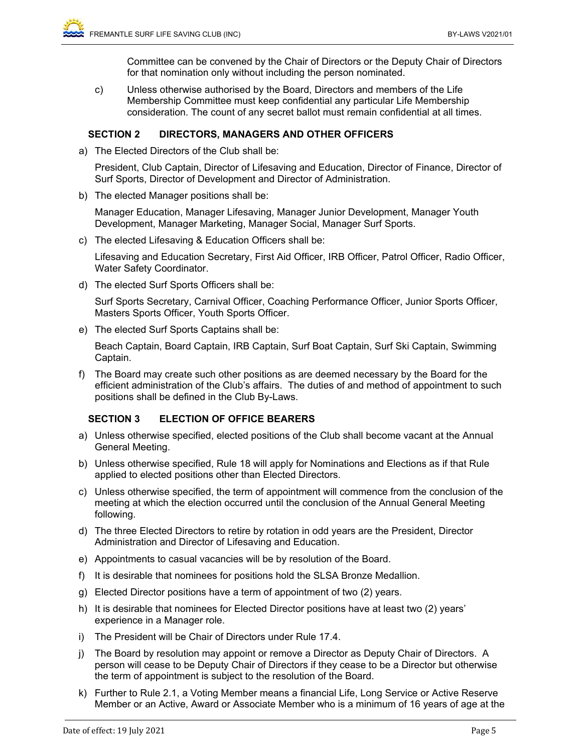Committee can be convened by the Chair of Directors or the Deputy Chair of Directors for that nomination only without including the person nominated.

c) Unless otherwise authorised by the Board, Directors and members of the Life Membership Committee must keep confidential any particular Life Membership consideration. The count of any secret ballot must remain confidential at all times.

## **SECTION 2 DIRECTORS, MANAGERS AND OTHER OFFICERS**

a) The Elected Directors of the Club shall be:

President, Club Captain, Director of Lifesaving and Education, Director of Finance, Director of Surf Sports, Director of Development and Director of Administration.

b) The elected Manager positions shall be:

Manager Education, Manager Lifesaving, Manager Junior Development, Manager Youth Development, Manager Marketing, Manager Social, Manager Surf Sports.

c) The elected Lifesaving & Education Officers shall be:

Lifesaving and Education Secretary, First Aid Officer, IRB Officer, Patrol Officer, Radio Officer, Water Safety Coordinator.

d) The elected Surf Sports Officers shall be:

Surf Sports Secretary, Carnival Officer, Coaching Performance Officer, Junior Sports Officer, Masters Sports Officer, Youth Sports Officer.

e) The elected Surf Sports Captains shall be:

Beach Captain, Board Captain, IRB Captain, Surf Boat Captain, Surf Ski Captain, Swimming Captain.

f) The Board may create such other positions as are deemed necessary by the Board for the efficient administration of the Club's affairs. The duties of and method of appointment to such positions shall be defined in the Club By-Laws.

## **SECTION 3 ELECTION OF OFFICE BEARERS**

- a) Unless otherwise specified, elected positions of the Club shall become vacant at the Annual General Meeting.
- b) Unless otherwise specified, Rule 18 will apply for Nominations and Elections as if that Rule applied to elected positions other than Elected Directors.
- c) Unless otherwise specified, the term of appointment will commence from the conclusion of the meeting at which the election occurred until the conclusion of the Annual General Meeting following.
- d) The three Elected Directors to retire by rotation in odd years are the President, Director Administration and Director of Lifesaving and Education.
- e) Appointments to casual vacancies will be by resolution of the Board.
- f) It is desirable that nominees for positions hold the SLSA Bronze Medallion.
- g) Elected Director positions have a term of appointment of two (2) years.
- h) It is desirable that nominees for Elected Director positions have at least two (2) years' experience in a Manager role.
- i) The President will be Chair of Directors under Rule 17.4.
- j) The Board by resolution may appoint or remove a Director as Deputy Chair of Directors. A person will cease to be Deputy Chair of Directors if they cease to be a Director but otherwise the term of appointment is subject to the resolution of the Board.
- k) Further to Rule 2.1, a Voting Member means a financial Life, Long Service or Active Reserve Member or an Active, Award or Associate Member who is a minimum of 16 years of age at the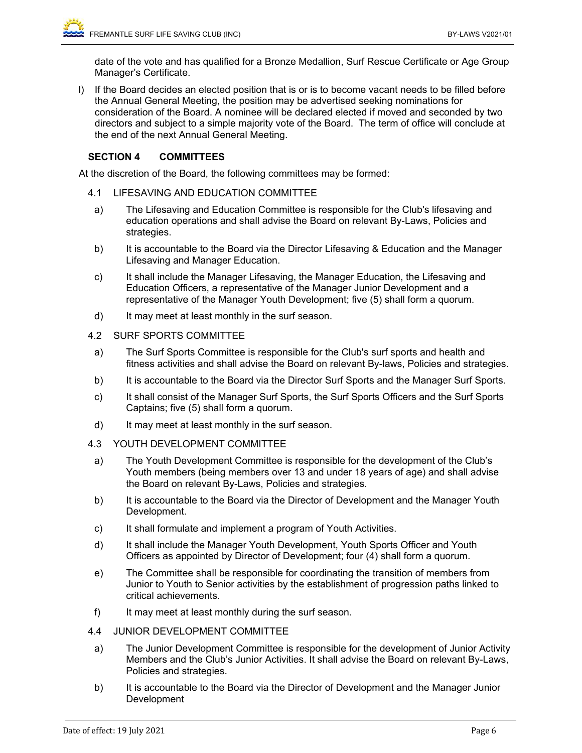date of the vote and has qualified for a Bronze Medallion, Surf Rescue Certificate or Age Group Manager's Certificate.

l) If the Board decides an elected position that is or is to become vacant needs to be filled before the Annual General Meeting, the position may be advertised seeking nominations for consideration of the Board. A nominee will be declared elected if moved and seconded by two directors and subject to a simple majority vote of the Board. The term of office will conclude at the end of the next Annual General Meeting.

## **SECTION 4 COMMITTEES**

At the discretion of the Board, the following committees may be formed:

- 4.1 LIFESAVING AND EDUCATION COMMITTEE
- a) The Lifesaving and Education Committee is responsible for the Club's lifesaving and education operations and shall advise the Board on relevant By-Laws, Policies and strategies.
- b) It is accountable to the Board via the Director Lifesaving & Education and the Manager Lifesaving and Manager Education.
- c) It shall include the Manager Lifesaving, the Manager Education, the Lifesaving and Education Officers, a representative of the Manager Junior Development and a representative of the Manager Youth Development; five (5) shall form a quorum.
- d) It may meet at least monthly in the surf season.

## 4.2 SURF SPORTS COMMITTEE

- a) The Surf Sports Committee is responsible for the Club's surf sports and health and fitness activities and shall advise the Board on relevant By-laws, Policies and strategies.
- b) It is accountable to the Board via the Director Surf Sports and the Manager Surf Sports.
- c) It shall consist of the Manager Surf Sports, the Surf Sports Officers and the Surf Sports Captains; five (5) shall form a quorum.
- d) It may meet at least monthly in the surf season.
- 4.3 YOUTH DEVELOPMENT COMMITTEE
	- a) The Youth Development Committee is responsible for the development of the Club's Youth members (being members over 13 and under 18 years of age) and shall advise the Board on relevant By-Laws, Policies and strategies.
	- b) It is accountable to the Board via the Director of Development and the Manager Youth Development.
	- c) It shall formulate and implement a program of Youth Activities.
	- d) It shall include the Manager Youth Development, Youth Sports Officer and Youth Officers as appointed by Director of Development; four (4) shall form a quorum.
	- e) The Committee shall be responsible for coordinating the transition of members from Junior to Youth to Senior activities by the establishment of progression paths linked to critical achievements.
- f) It may meet at least monthly during the surf season.
- 4.4 JUNIOR DEVELOPMENT COMMITTEE
	- a) The Junior Development Committee is responsible for the development of Junior Activity Members and the Club's Junior Activities. It shall advise the Board on relevant By-Laws, Policies and strategies.
	- b) It is accountable to the Board via the Director of Development and the Manager Junior Development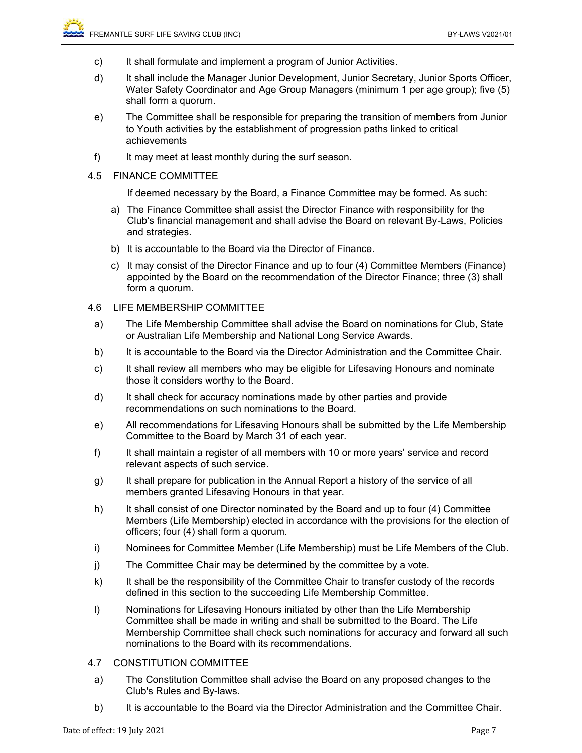- c) It shall formulate and implement a program of Junior Activities.
- d) It shall include the Manager Junior Development, Junior Secretary, Junior Sports Officer, Water Safety Coordinator and Age Group Managers (minimum 1 per age group); five (5) shall form a quorum.
- e) The Committee shall be responsible for preparing the transition of members from Junior to Youth activities by the establishment of progression paths linked to critical achievements
- f) It may meet at least monthly during the surf season.
- 4.5 FINANCE COMMITTEE

If deemed necessary by the Board, a Finance Committee may be formed. As such:

- a) The Finance Committee shall assist the Director Finance with responsibility for the Club's financial management and shall advise the Board on relevant By-Laws, Policies and strategies.
- b) It is accountable to the Board via the Director of Finance.
- c) It may consist of the Director Finance and up to four (4) Committee Members (Finance) appointed by the Board on the recommendation of the Director Finance; three (3) shall form a quorum.

## 4.6 LIFE MEMBERSHIP COMMITTEE

- a) The Life Membership Committee shall advise the Board on nominations for Club, State or Australian Life Membership and National Long Service Awards.
- b) It is accountable to the Board via the Director Administration and the Committee Chair.
- c) It shall review all members who may be eligible for Lifesaving Honours and nominate those it considers worthy to the Board.
- d) It shall check for accuracy nominations made by other parties and provide recommendations on such nominations to the Board.
- e) All recommendations for Lifesaving Honours shall be submitted by the Life Membership Committee to the Board by March 31 of each year.
- f) It shall maintain a register of all members with 10 or more years' service and record relevant aspects of such service.
- g) It shall prepare for publication in the Annual Report a history of the service of all members granted Lifesaving Honours in that year.
- h) It shall consist of one Director nominated by the Board and up to four (4) Committee Members (Life Membership) elected in accordance with the provisions for the election of officers; four (4) shall form a quorum.
- i) Nominees for Committee Member (Life Membership) must be Life Members of the Club.
- j) The Committee Chair may be determined by the committee by a vote.
- k) It shall be the responsibility of the Committee Chair to transfer custody of the records defined in this section to the succeeding Life Membership Committee.
- l) Nominations for Lifesaving Honours initiated by other than the Life Membership Committee shall be made in writing and shall be submitted to the Board. The Life Membership Committee shall check such nominations for accuracy and forward all such nominations to the Board with its recommendations.

## 4.7 CONSTITUTION COMMITTEE

- a) The Constitution Committee shall advise the Board on any proposed changes to the Club's Rules and By-laws.
- b) It is accountable to the Board via the Director Administration and the Committee Chair.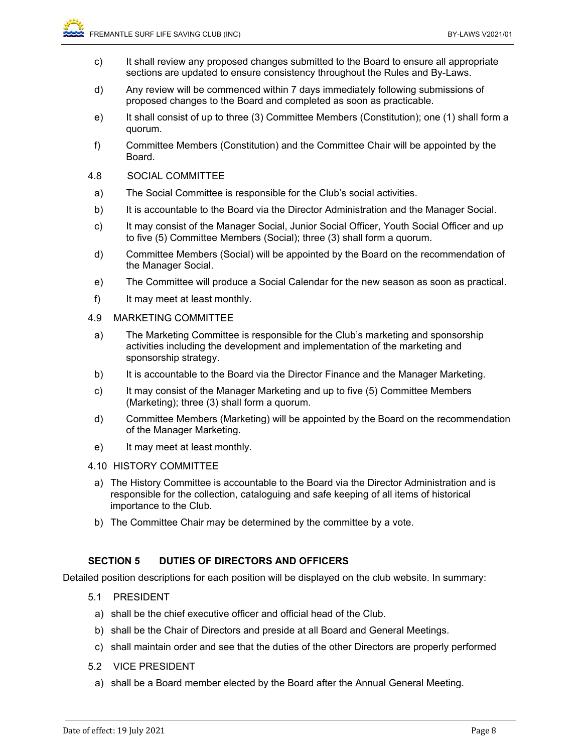- c) It shall review any proposed changes submitted to the Board to ensure all appropriate sections are updated to ensure consistency throughout the Rules and By-Laws.
- d) Any review will be commenced within 7 days immediately following submissions of proposed changes to the Board and completed as soon as practicable.
- e) It shall consist of up to three (3) Committee Members (Constitution); one (1) shall form a quorum.
- f) Committee Members (Constitution) and the Committee Chair will be appointed by the Board.
- 4.8 SOCIAL COMMITTEE
	- a) The Social Committee is responsible for the Club's social activities.
	- b) It is accountable to the Board via the Director Administration and the Manager Social.
	- c) It may consist of the Manager Social, Junior Social Officer, Youth Social Officer and up to five (5) Committee Members (Social); three (3) shall form a quorum.
- d) Committee Members (Social) will be appointed by the Board on the recommendation of the Manager Social.
- e) The Committee will produce a Social Calendar for the new season as soon as practical.
- f) It may meet at least monthly.
- 4.9 MARKETING COMMITTEE
- a) The Marketing Committee is responsible for the Club's marketing and sponsorship activities including the development and implementation of the marketing and sponsorship strategy.
- b) It is accountable to the Board via the Director Finance and the Manager Marketing.
- c) It may consist of the Manager Marketing and up to five (5) Committee Members (Marketing); three (3) shall form a quorum.
- d) Committee Members (Marketing) will be appointed by the Board on the recommendation of the Manager Marketing.
- e) It may meet at least monthly.

## 4.10 HISTORY COMMITTEE

- a) The History Committee is accountable to the Board via the Director Administration and is responsible for the collection, cataloguing and safe keeping of all items of historical importance to the Club.
- b) The Committee Chair may be determined by the committee by a vote.

## **SECTION 5 DUTIES OF DIRECTORS AND OFFICERS**

Detailed position descriptions for each position will be displayed on the club website. In summary:

- 5.1 PRESIDENT
	- a) shall be the chief executive officer and official head of the Club.
	- b) shall be the Chair of Directors and preside at all Board and General Meetings.
	- c) shall maintain order and see that the duties of the other Directors are properly performed
- 5.2 VICE PRESIDENT
	- a) shall be a Board member elected by the Board after the Annual General Meeting.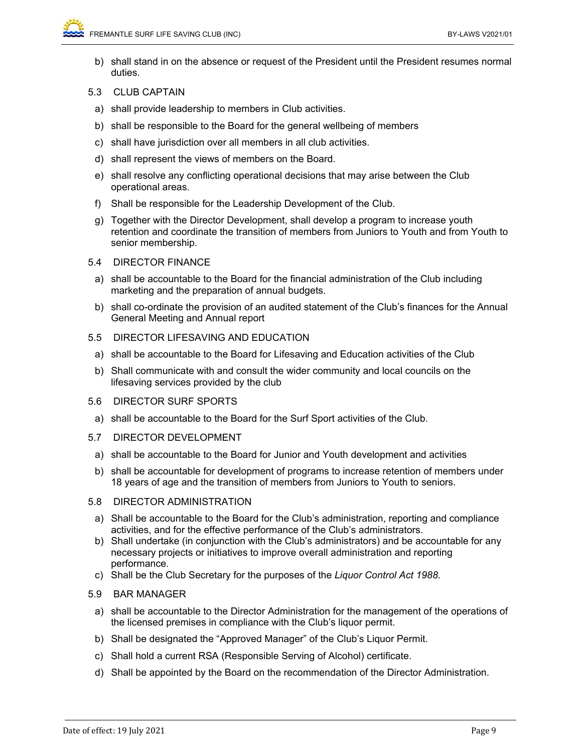- b) shall stand in on the absence or request of the President until the President resumes normal duties.
- 5.3 CLUB CAPTAIN
	- a) shall provide leadership to members in Club activities.
	- b) shall be responsible to the Board for the general wellbeing of members
	- c) shall have jurisdiction over all members in all club activities.
	- d) shall represent the views of members on the Board.
	- e) shall resolve any conflicting operational decisions that may arise between the Club operational areas.
	- f) Shall be responsible for the Leadership Development of the Club.
	- g) Together with the Director Development, shall develop a program to increase youth retention and coordinate the transition of members from Juniors to Youth and from Youth to senior membership.
- 5.4 DIRECTOR FINANCE
	- a) shall be accountable to the Board for the financial administration of the Club including marketing and the preparation of annual budgets.
	- b) shall co-ordinate the provision of an audited statement of the Club's finances for the Annual General Meeting and Annual report
- 5.5 DIRECTOR LIFESAVING AND EDUCATION
	- a) shall be accountable to the Board for Lifesaving and Education activities of the Club
	- b) Shall communicate with and consult the wider community and local councils on the lifesaving services provided by the club
- 5.6 DIRECTOR SURF SPORTS
	- a) shall be accountable to the Board for the Surf Sport activities of the Club.
- 5.7 DIRECTOR DEVELOPMENT
	- a) shall be accountable to the Board for Junior and Youth development and activities
	- b) shall be accountable for development of programs to increase retention of members under 18 years of age and the transition of members from Juniors to Youth to seniors.
- 5.8 DIRECTOR ADMINISTRATION
	- a) Shall be accountable to the Board for the Club's administration, reporting and compliance activities, and for the effective performance of the Club's administrators.
- b) Shall undertake (in conjunction with the Club's administrators) and be accountable for any necessary projects or initiatives to improve overall administration and reporting performance.
- c) Shall be the Club Secretary for the purposes of the *Liquor Control Act 1988*.
- 5.9 BAR MANAGER
	- a) shall be accountable to the Director Administration for the management of the operations of the licensed premises in compliance with the Club's liquor permit.
	- b) Shall be designated the "Approved Manager" of the Club's Liquor Permit.
	- c) Shall hold a current RSA (Responsible Serving of Alcohol) certificate.
	- d) Shall be appointed by the Board on the recommendation of the Director Administration.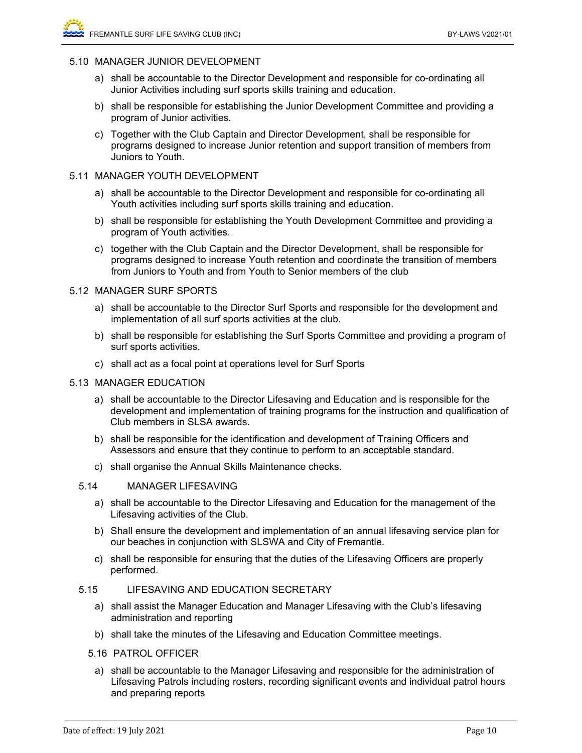#### 5.10 MANAGER JUNIOR DEVELOPMENT

- a) shall be accountable to the Director Development and responsible for co-ordinating all Junior Activities including surf sports skills training and education.
- b) shall be responsible for establishing the Junior Development Committee and providing a program of Junior activities.
- c) Together with the Club Captain and Director Development, shall be responsible for programs designed to increase Junior retention and support transition of members from Juniors to Youth.

#### 5.11 MANAGER YOUTH DEVELOPMENT

- a) shall be accountable to the Director Development and responsible for co-ordinating all Youth activities including surf sports skills training and education.
- b) shall be responsible for establishing the Youth Development Committee and providing a program of Youth activities.
- c) together with the Club Captain and the Director Development, shall be responsible for programs designed to increase Youth retention and coordinate the transition of members from Juniors to Youth and from Youth to Senior members of the club

## 5.12 MANAGER SURF SPORTS

- a) shall be accountable to the Director Surf Sports and responsible for the development and implementation of all surf sports activities at the club.
- b) shall be responsible for establishing the Surf Sports Committee and providing a program of surf sports activities.
- c) shall act as a focal point at operations level for Surf Sports

#### 5.13 MANAGER EDUCATION

- a) shall be accountable to the Director Lifesaving and Education and is responsible for the development and implementation of training programs for the instruction and qualification of Club members in SLSA awards.
- b) shall be responsible for the identification and development of Training Officers and Assessors and ensure that they continue to perform to an acceptable standard.
- c) shall organise the Annual Skills Maintenance checks.

### 5.14 MANAGER LIFESAVING

- a) shall be accountable to the Director Lifesaving and Education for the management of the Lifesaving activities of the Club.
- b) Shall ensure the development and implementation of an annual lifesaving service plan for our beaches in conjunction with SLSWA and City of Fremantle.
- c) shall be responsible for ensuring that the duties of the Lifesaving Officers are properly performed.

#### 5.15 LIFESAVING AND EDUCATION SECRETARY

- a) shall assist the Manager Education and Manager Lifesaving with the Club's lifesaving administration and reporting
- b) shall take the minutes of the Lifesaving and Education Committee meetings.
- 5.16 PATROL OFFICER
	- a) shall be accountable to the Manager Lifesaving and responsible for the administration of Lifesaving Patrols including rosters, recording significant events and individual patrol hours and preparing reports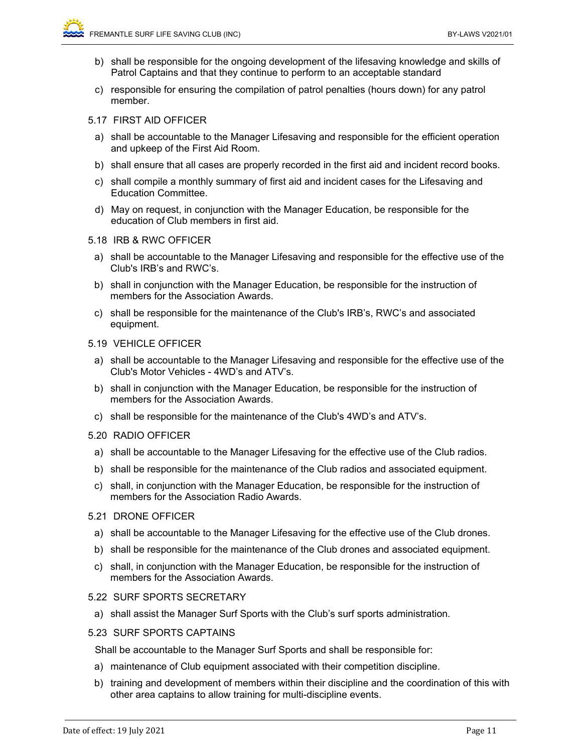- b) shall be responsible for the ongoing development of the lifesaving knowledge and skills of Patrol Captains and that they continue to perform to an acceptable standard
- c) responsible for ensuring the compilation of patrol penalties (hours down) for any patrol member.
- 5.17 FIRST AID OFFICER
	- a) shall be accountable to the Manager Lifesaving and responsible for the efficient operation and upkeep of the First Aid Room.
	- b) shall ensure that all cases are properly recorded in the first aid and incident record books.
	- c) shall compile a monthly summary of first aid and incident cases for the Lifesaving and Education Committee.
	- d) May on request, in conjunction with the Manager Education, be responsible for the education of Club members in first aid.
- 5.18 IRB & RWC OFFICER
	- a) shall be accountable to the Manager Lifesaving and responsible for the effective use of the Club's IRB's and RWC's.
	- b) shall in conjunction with the Manager Education, be responsible for the instruction of members for the Association Awards.
	- c) shall be responsible for the maintenance of the Club's IRB's, RWC's and associated equipment.
- 5.19 VEHICLE OFFICER
- a) shall be accountable to the Manager Lifesaving and responsible for the effective use of the Club's Motor Vehicles - 4WD's and ATV's.
- b) shall in conjunction with the Manager Education, be responsible for the instruction of members for the Association Awards.
- c) shall be responsible for the maintenance of the Club's 4WD's and ATV's.

#### 5.20 RADIO OFFICER

- a) shall be accountable to the Manager Lifesaving for the effective use of the Club radios.
- b) shall be responsible for the maintenance of the Club radios and associated equipment.
- c) shall, in conjunction with the Manager Education, be responsible for the instruction of members for the Association Radio Awards.

#### 5.21 DRONE OFFICER

- a) shall be accountable to the Manager Lifesaving for the effective use of the Club drones.
- b) shall be responsible for the maintenance of the Club drones and associated equipment.
- c) shall, in conjunction with the Manager Education, be responsible for the instruction of members for the Association Awards.

#### 5.22 SURF SPORTS SECRETARY

a) shall assist the Manager Surf Sports with the Club's surf sports administration.

#### 5.23 SURF SPORTS CAPTAINS

Shall be accountable to the Manager Surf Sports and shall be responsible for:

- a) maintenance of Club equipment associated with their competition discipline.
- b) training and development of members within their discipline and the coordination of this with other area captains to allow training for multi-discipline events.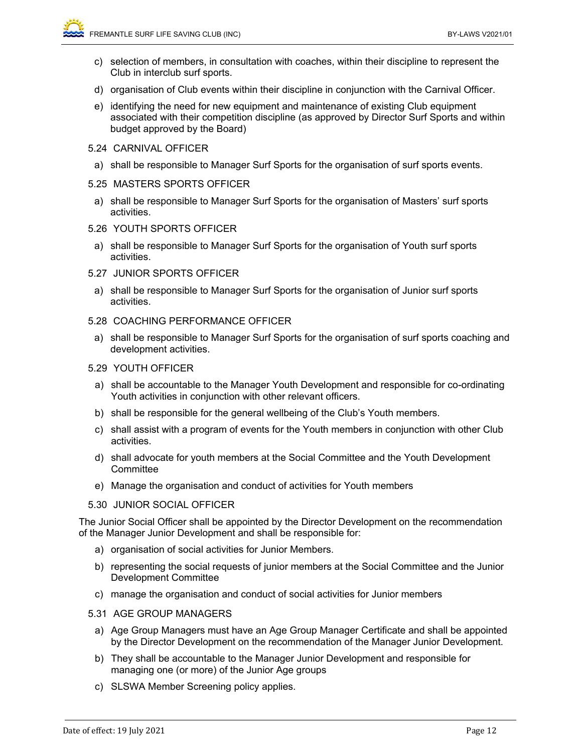- c) selection of members, in consultation with coaches, within their discipline to represent the Club in interclub surf sports.
- d) organisation of Club events within their discipline in conjunction with the Carnival Officer.
- e) identifying the need for new equipment and maintenance of existing Club equipment associated with their competition discipline (as approved by Director Surf Sports and within budget approved by the Board)
- 5.24 CARNIVAL OFFICER
	- a) shall be responsible to Manager Surf Sports for the organisation of surf sports events.

## 5.25 MASTERS SPORTS OFFICER

- a) shall be responsible to Manager Surf Sports for the organisation of Masters' surf sports activities.
- 5.26 YOUTH SPORTS OFFICER
- a) shall be responsible to Manager Surf Sports for the organisation of Youth surf sports activities.
- 5.27 JUNIOR SPORTS OFFICER
	- a) shall be responsible to Manager Surf Sports for the organisation of Junior surf sports activities.
- 5.28 COACHING PERFORMANCE OFFICER
	- a) shall be responsible to Manager Surf Sports for the organisation of surf sports coaching and development activities.
- 5.29 YOUTH OFFICER
	- a) shall be accountable to the Manager Youth Development and responsible for co-ordinating Youth activities in conjunction with other relevant officers.
	- b) shall be responsible for the general wellbeing of the Club's Youth members.
	- c) shall assist with a program of events for the Youth members in conjunction with other Club activities.
	- d) shall advocate for youth members at the Social Committee and the Youth Development **Committee**
	- e) Manage the organisation and conduct of activities for Youth members

## 5.30 JUNIOR SOCIAL OFFICER

The Junior Social Officer shall be appointed by the Director Development on the recommendation of the Manager Junior Development and shall be responsible for:

- a) organisation of social activities for Junior Members.
- b) representing the social requests of junior members at the Social Committee and the Junior Development Committee
- c) manage the organisation and conduct of social activities for Junior members
- 5.31 AGE GROUP MANAGERS
	- a) Age Group Managers must have an Age Group Manager Certificate and shall be appointed by the Director Development on the recommendation of the Manager Junior Development.
	- b) They shall be accountable to the Manager Junior Development and responsible for managing one (or more) of the Junior Age groups
	- c) SLSWA Member Screening policy applies.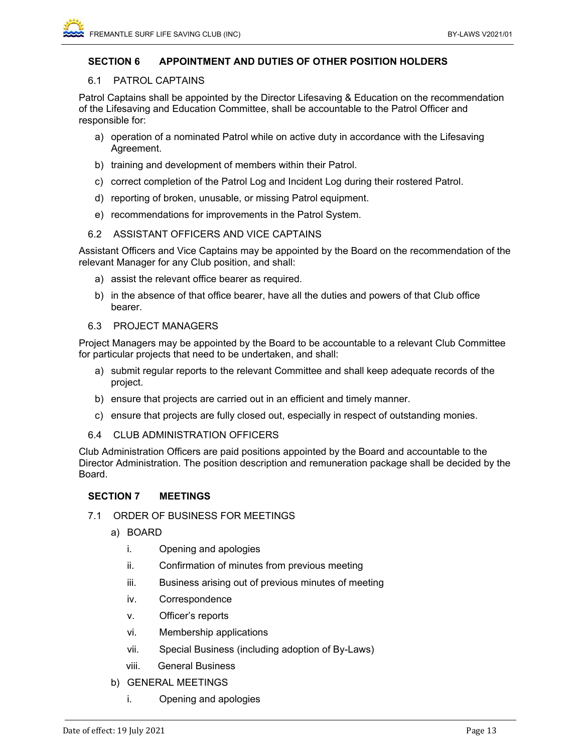## **SECTION 6 APPOINTMENT AND DUTIES OF OTHER POSITION HOLDERS**

#### 6.1 PATROL CAPTAINS

Patrol Captains shall be appointed by the Director Lifesaving & Education on the recommendation of the Lifesaving and Education Committee, shall be accountable to the Patrol Officer and responsible for:

- a) operation of a nominated Patrol while on active duty in accordance with the Lifesaving Agreement.
- b) training and development of members within their Patrol.
- c) correct completion of the Patrol Log and Incident Log during their rostered Patrol.
- d) reporting of broken, unusable, or missing Patrol equipment.
- e) recommendations for improvements in the Patrol System.

## 6.2 ASSISTANT OFFICERS AND VICE CAPTAINS

Assistant Officers and Vice Captains may be appointed by the Board on the recommendation of the relevant Manager for any Club position, and shall:

- a) assist the relevant office bearer as required.
- b) in the absence of that office bearer, have all the duties and powers of that Club office bearer.
- 6.3 PROJECT MANAGERS

Project Managers may be appointed by the Board to be accountable to a relevant Club Committee for particular projects that need to be undertaken, and shall:

- a) submit regular reports to the relevant Committee and shall keep adequate records of the project.
- b) ensure that projects are carried out in an efficient and timely manner.
- c) ensure that projects are fully closed out, especially in respect of outstanding monies.
- 6.4 CLUB ADMINISTRATION OFFICERS

Club Administration Officers are paid positions appointed by the Board and accountable to the Director Administration. The position description and remuneration package shall be decided by the Board.

## **SECTION 7 MEETINGS**

- 7.1 ORDER OF BUSINESS FOR MEETINGS
	- a) BOARD
		- i. Opening and apologies
		- ii. Confirmation of minutes from previous meeting
		- iii. Business arising out of previous minutes of meeting
		- iv. Correspondence
		- v. Officer's reports
		- vi. Membership applications
		- vii. Special Business (including adoption of By-Laws)
		- viii. General Business
	- b) GENERAL MEETINGS
		- i. Opening and apologies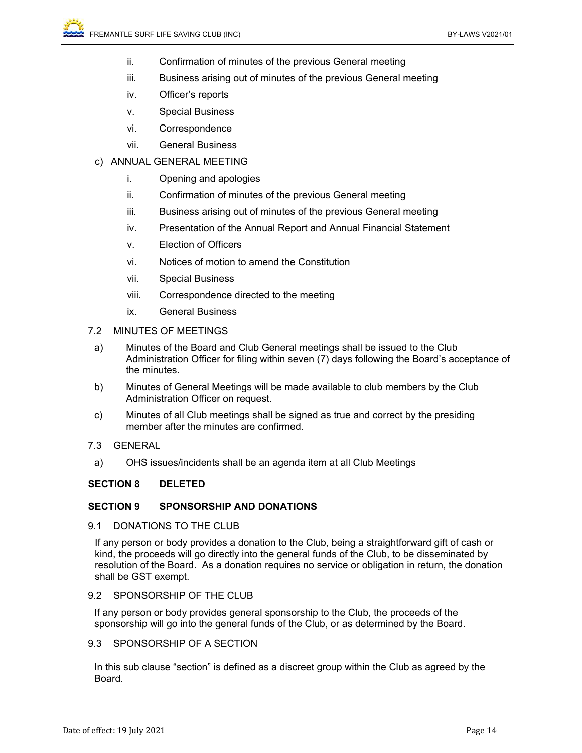- ii. Confirmation of minutes of the previous General meeting
- iii. Business arising out of minutes of the previous General meeting
- iv. Officer's reports
- v. Special Business
- vi. Correspondence
- vii. General Business
- c) ANNUAL GENERAL MEETING
	- i. Opening and apologies
	- ii. Confirmation of minutes of the previous General meeting
	- iii. Business arising out of minutes of the previous General meeting
	- iv. Presentation of the Annual Report and Annual Financial Statement
	- v. Election of Officers
	- vi. Notices of motion to amend the Constitution
	- vii. Special Business
	- viii. Correspondence directed to the meeting
	- ix. General Business

#### 7.2 MINUTES OF MEETINGS

- a) Minutes of the Board and Club General meetings shall be issued to the Club Administration Officer for filing within seven (7) days following the Board's acceptance of the minutes.
- b) Minutes of General Meetings will be made available to club members by the Club Administration Officer on request.
- c) Minutes of all Club meetings shall be signed as true and correct by the presiding member after the minutes are confirmed.
- 7.3 GENERAL
- a) OHS issues/incidents shall be an agenda item at all Club Meetings

#### **SECTION 8 DELETED**

#### **SECTION 9 SPONSORSHIP AND DONATIONS**

9.1 DONATIONS TO THE CLUB

If any person or body provides a donation to the Club, being a straightforward gift of cash or kind, the proceeds will go directly into the general funds of the Club, to be disseminated by resolution of the Board. As a donation requires no service or obligation in return, the donation shall be GST exempt.

#### 9.2 SPONSORSHIP OF THE CLUB

If any person or body provides general sponsorship to the Club, the proceeds of the sponsorship will go into the general funds of the Club, or as determined by the Board.

## 9.3 SPONSORSHIP OF A SECTION

In this sub clause "section" is defined as a discreet group within the Club as agreed by the Board.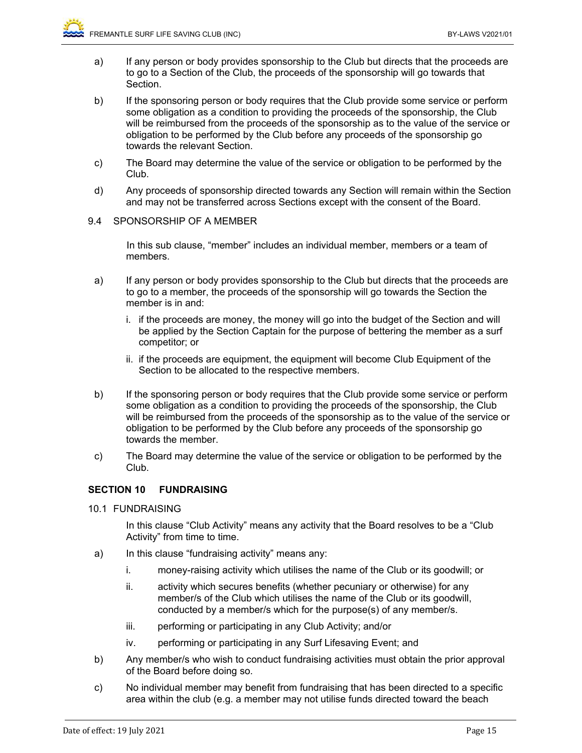- a) If any person or body provides sponsorship to the Club but directs that the proceeds are to go to a Section of the Club, the proceeds of the sponsorship will go towards that Section.
- b) If the sponsoring person or body requires that the Club provide some service or perform some obligation as a condition to providing the proceeds of the sponsorship, the Club will be reimbursed from the proceeds of the sponsorship as to the value of the service or obligation to be performed by the Club before any proceeds of the sponsorship go towards the relevant Section.
- c) The Board may determine the value of the service or obligation to be performed by the Club.
- d) Any proceeds of sponsorship directed towards any Section will remain within the Section and may not be transferred across Sections except with the consent of the Board.
- 9.4 SPONSORSHIP OF A MEMBER

In this sub clause, "member" includes an individual member, members or a team of members.

- a) If any person or body provides sponsorship to the Club but directs that the proceeds are to go to a member, the proceeds of the sponsorship will go towards the Section the member is in and:
	- i. if the proceeds are money, the money will go into the budget of the Section and will be applied by the Section Captain for the purpose of bettering the member as a surf competitor; or
	- ii. if the proceeds are equipment, the equipment will become Club Equipment of the Section to be allocated to the respective members.
- b) If the sponsoring person or body requires that the Club provide some service or perform some obligation as a condition to providing the proceeds of the sponsorship, the Club will be reimbursed from the proceeds of the sponsorship as to the value of the service or obligation to be performed by the Club before any proceeds of the sponsorship go towards the member.
- c) The Board may determine the value of the service or obligation to be performed by the Club.

## **SECTION 10 FUNDRAISING**

10.1 FUNDRAISING

 In this clause "Club Activity" means any activity that the Board resolves to be a "Club Activity" from time to time.

- a) In this clause "fundraising activity" means any:
	- i. money-raising activity which utilises the name of the Club or its goodwill; or
	- ii. activity which secures benefits (whether pecuniary or otherwise) for any member/s of the Club which utilises the name of the Club or its goodwill, conducted by a member/s which for the purpose(s) of any member/s.
	- iii. performing or participating in any Club Activity; and/or
	- iv. performing or participating in any Surf Lifesaving Event; and
- b) Any member/s who wish to conduct fundraising activities must obtain the prior approval of the Board before doing so.
- c) No individual member may benefit from fundraising that has been directed to a specific area within the club (e.g. a member may not utilise funds directed toward the beach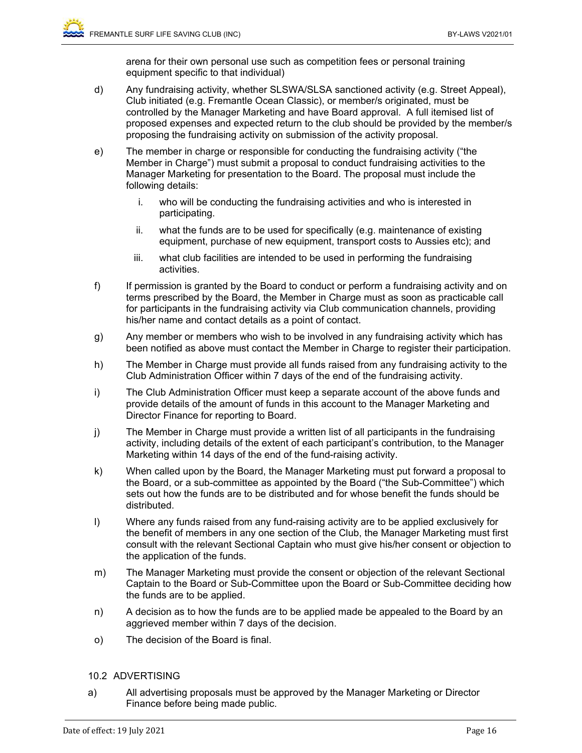arena for their own personal use such as competition fees or personal training equipment specific to that individual)

- d) Any fundraising activity, whether SLSWA/SLSA sanctioned activity (e.g. Street Appeal), Club initiated (e.g. Fremantle Ocean Classic), or member/s originated, must be controlled by the Manager Marketing and have Board approval. A full itemised list of proposed expenses and expected return to the club should be provided by the member/s proposing the fundraising activity on submission of the activity proposal.
- e) The member in charge or responsible for conducting the fundraising activity ("the Member in Charge") must submit a proposal to conduct fundraising activities to the Manager Marketing for presentation to the Board. The proposal must include the following details:
	- i. who will be conducting the fundraising activities and who is interested in participating.
	- ii. what the funds are to be used for specifically (e.g. maintenance of existing equipment, purchase of new equipment, transport costs to Aussies etc); and
	- iii. what club facilities are intended to be used in performing the fundraising activities.
- f) If permission is granted by the Board to conduct or perform a fundraising activity and on terms prescribed by the Board, the Member in Charge must as soon as practicable call for participants in the fundraising activity via Club communication channels, providing his/her name and contact details as a point of contact.
- g) Any member or members who wish to be involved in any fundraising activity which has been notified as above must contact the Member in Charge to register their participation.
- h) The Member in Charge must provide all funds raised from any fundraising activity to the Club Administration Officer within 7 days of the end of the fundraising activity.
- i) The Club Administration Officer must keep a separate account of the above funds and provide details of the amount of funds in this account to the Manager Marketing and Director Finance for reporting to Board.
- j) The Member in Charge must provide a written list of all participants in the fundraising activity, including details of the extent of each participant's contribution, to the Manager Marketing within 14 days of the end of the fund-raising activity.
- k) When called upon by the Board, the Manager Marketing must put forward a proposal to the Board, or a sub-committee as appointed by the Board ("the Sub-Committee") which sets out how the funds are to be distributed and for whose benefit the funds should be distributed.
- l) Where any funds raised from any fund-raising activity are to be applied exclusively for the benefit of members in any one section of the Club, the Manager Marketing must first consult with the relevant Sectional Captain who must give his/her consent or objection to the application of the funds.
- m) The Manager Marketing must provide the consent or objection of the relevant Sectional Captain to the Board or Sub-Committee upon the Board or Sub-Committee deciding how the funds are to be applied.
- n) A decision as to how the funds are to be applied made be appealed to the Board by an aggrieved member within 7 days of the decision.
- o) The decision of the Board is final.

## 10.2 ADVERTISING

a) All advertising proposals must be approved by the Manager Marketing or Director Finance before being made public.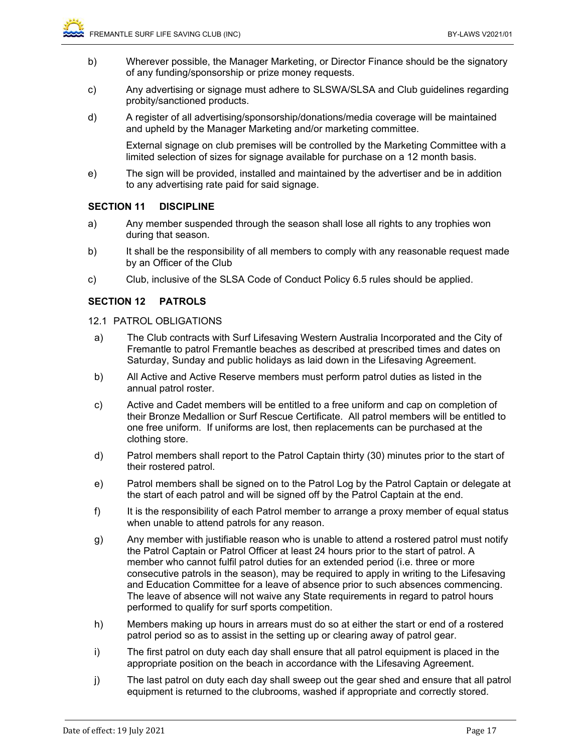- b) Wherever possible, the Manager Marketing, or Director Finance should be the signatory of any funding/sponsorship or prize money requests.
- c) Any advertising or signage must adhere to SLSWA/SLSA and Club guidelines regarding probity/sanctioned products.
- d) A register of all advertising/sponsorship/donations/media coverage will be maintained and upheld by the Manager Marketing and/or marketing committee.

External signage on club premises will be controlled by the Marketing Committee with a limited selection of sizes for signage available for purchase on a 12 month basis.

e) The sign will be provided, installed and maintained by the advertiser and be in addition to any advertising rate paid for said signage.

## **SECTION 11 DISCIPLINE**

- a) Any member suspended through the season shall lose all rights to any trophies won during that season.
- b) It shall be the responsibility of all members to comply with any reasonable request made by an Officer of the Club
- c) Club, inclusive of the SLSA Code of Conduct Policy 6.5 rules should be applied.

## **SECTION 12 PATROLS**

- 12.1 PATROL OBLIGATIONS
- a) The Club contracts with Surf Lifesaving Western Australia Incorporated and the City of Fremantle to patrol Fremantle beaches as described at prescribed times and dates on Saturday, Sunday and public holidays as laid down in the Lifesaving Agreement.
- b) All Active and Active Reserve members must perform patrol duties as listed in the annual patrol roster.
- c) Active and Cadet members will be entitled to a free uniform and cap on completion of their Bronze Medallion or Surf Rescue Certificate. All patrol members will be entitled to one free uniform. If uniforms are lost, then replacements can be purchased at the clothing store.
- d) Patrol members shall report to the Patrol Captain thirty (30) minutes prior to the start of their rostered patrol.
- e) Patrol members shall be signed on to the Patrol Log by the Patrol Captain or delegate at the start of each patrol and will be signed off by the Patrol Captain at the end.
- f) It is the responsibility of each Patrol member to arrange a proxy member of equal status when unable to attend patrols for any reason.
- g) Any member with justifiable reason who is unable to attend a rostered patrol must notify the Patrol Captain or Patrol Officer at least 24 hours prior to the start of patrol. A member who cannot fulfil patrol duties for an extended period (i.e. three or more consecutive patrols in the season), may be required to apply in writing to the Lifesaving and Education Committee for a leave of absence prior to such absences commencing. The leave of absence will not waive any State requirements in regard to patrol hours performed to qualify for surf sports competition.
- h) Members making up hours in arrears must do so at either the start or end of a rostered patrol period so as to assist in the setting up or clearing away of patrol gear.
- i) The first patrol on duty each day shall ensure that all patrol equipment is placed in the appropriate position on the beach in accordance with the Lifesaving Agreement.
- j) The last patrol on duty each day shall sweep out the gear shed and ensure that all patrol equipment is returned to the clubrooms, washed if appropriate and correctly stored.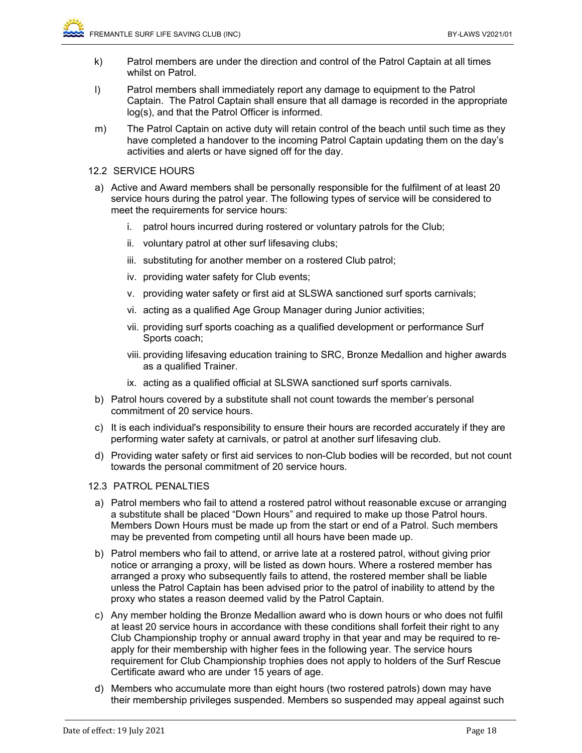- k) Patrol members are under the direction and control of the Patrol Captain at all times whilst on Patrol.
- l) Patrol members shall immediately report any damage to equipment to the Patrol Captain. The Patrol Captain shall ensure that all damage is recorded in the appropriate log(s), and that the Patrol Officer is informed.
- m) The Patrol Captain on active duty will retain control of the beach until such time as they have completed a handover to the incoming Patrol Captain updating them on the day's activities and alerts or have signed off for the day.

## 12.2 SERVICE HOURS

- a) Active and Award members shall be personally responsible for the fulfilment of at least 20 service hours during the patrol year. The following types of service will be considered to meet the requirements for service hours:
	- i. patrol hours incurred during rostered or voluntary patrols for the Club;
	- ii. voluntary patrol at other surf lifesaving clubs;
	- iii. substituting for another member on a rostered Club patrol;
	- iv. providing water safety for Club events;
	- v. providing water safety or first aid at SLSWA sanctioned surf sports carnivals;
	- vi. acting as a qualified Age Group Manager during Junior activities;
	- vii. providing surf sports coaching as a qualified development or performance Surf Sports coach;
	- viii. providing lifesaving education training to SRC, Bronze Medallion and higher awards as a qualified Trainer.
	- ix. acting as a qualified official at SLSWA sanctioned surf sports carnivals.
- b) Patrol hours covered by a substitute shall not count towards the member's personal commitment of 20 service hours.
- c) It is each individual's responsibility to ensure their hours are recorded accurately if they are performing water safety at carnivals, or patrol at another surf lifesaving club.
- d) Providing water safety or first aid services to non-Club bodies will be recorded, but not count towards the personal commitment of 20 service hours.
- 12.3 PATROL PENALTIES
- a) Patrol members who fail to attend a rostered patrol without reasonable excuse or arranging a substitute shall be placed "Down Hours" and required to make up those Patrol hours. Members Down Hours must be made up from the start or end of a Patrol. Such members may be prevented from competing until all hours have been made up.
- b) Patrol members who fail to attend, or arrive late at a rostered patrol, without giving prior notice or arranging a proxy, will be listed as down hours. Where a rostered member has arranged a proxy who subsequently fails to attend, the rostered member shall be liable unless the Patrol Captain has been advised prior to the patrol of inability to attend by the proxy who states a reason deemed valid by the Patrol Captain.
- c) Any member holding the Bronze Medallion award who is down hours or who does not fulfil at least 20 service hours in accordance with these conditions shall forfeit their right to any Club Championship trophy or annual award trophy in that year and may be required to reapply for their membership with higher fees in the following year. The service hours requirement for Club Championship trophies does not apply to holders of the Surf Rescue Certificate award who are under 15 years of age.
- d) Members who accumulate more than eight hours (two rostered patrols) down may have their membership privileges suspended. Members so suspended may appeal against such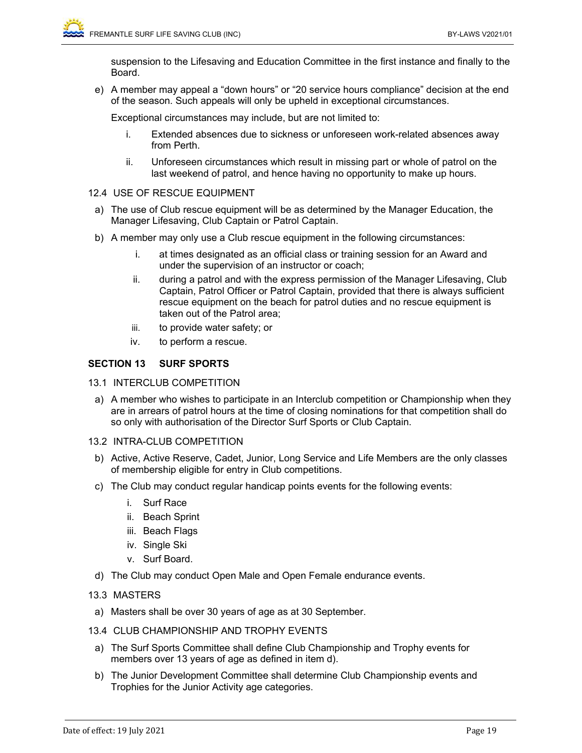suspension to the Lifesaving and Education Committee in the first instance and finally to the Board.

e) A member may appeal a "down hours" or "20 service hours compliance" decision at the end of the season. Such appeals will only be upheld in exceptional circumstances.

Exceptional circumstances may include, but are not limited to:

- i. Extended absences due to sickness or unforeseen work-related absences away from Perth.
- ii. Unforeseen circumstances which result in missing part or whole of patrol on the last weekend of patrol, and hence having no opportunity to make up hours.

## 12.4 USE OF RESCUE EQUIPMENT

- a) The use of Club rescue equipment will be as determined by the Manager Education, the Manager Lifesaving, Club Captain or Patrol Captain.
- b) A member may only use a Club rescue equipment in the following circumstances:
	- i. at times designated as an official class or training session for an Award and under the supervision of an instructor or coach;
	- ii. during a patrol and with the express permission of the Manager Lifesaving, Club Captain, Patrol Officer or Patrol Captain, provided that there is always sufficient rescue equipment on the beach for patrol duties and no rescue equipment is taken out of the Patrol area;
	- iii. to provide water safety; or
	- iv. to perform a rescue.

## **SECTION 13 SURF SPORTS**

- 13.1 INTERCLUB COMPETITION
- a) A member who wishes to participate in an Interclub competition or Championship when they are in arrears of patrol hours at the time of closing nominations for that competition shall do so only with authorisation of the Director Surf Sports or Club Captain.
- 13.2 INTRA-CLUB COMPETITION
- b) Active, Active Reserve, Cadet, Junior, Long Service and Life Members are the only classes of membership eligible for entry in Club competitions.
- c) The Club may conduct regular handicap points events for the following events:
	- i. Surf Race
	- ii. Beach Sprint
	- iii. Beach Flags
	- iv. Single Ski
	- v. Surf Board.
- d) The Club may conduct Open Male and Open Female endurance events.

## 13.3 MASTERS

- a) Masters shall be over 30 years of age as at 30 September.
- 13.4 CLUB CHAMPIONSHIP AND TROPHY EVENTS
	- a) The Surf Sports Committee shall define Club Championship and Trophy events for members over 13 years of age as defined in item d).
	- b) The Junior Development Committee shall determine Club Championship events and Trophies for the Junior Activity age categories.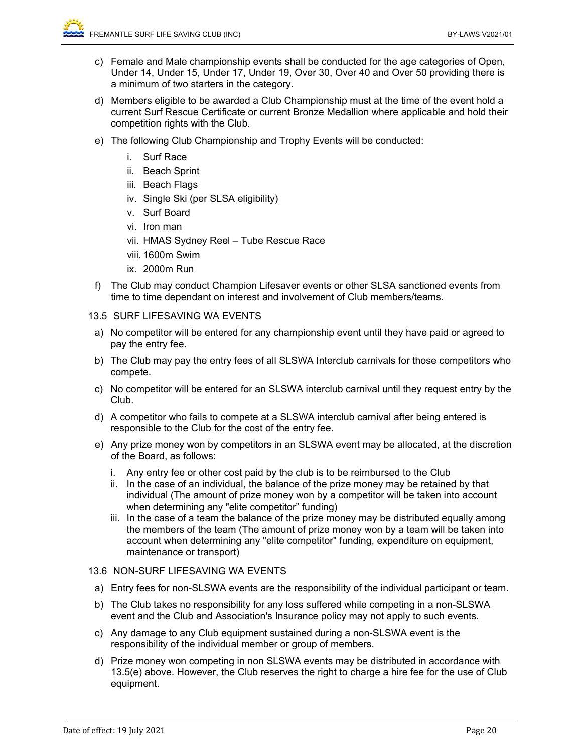- c) Female and Male championship events shall be conducted for the age categories of Open, Under 14, Under 15, Under 17, Under 19, Over 30, Over 40 and Over 50 providing there is a minimum of two starters in the category.
- d) Members eligible to be awarded a Club Championship must at the time of the event hold a current Surf Rescue Certificate or current Bronze Medallion where applicable and hold their competition rights with the Club.
- e) The following Club Championship and Trophy Events will be conducted:
	- i. Surf Race
	- ii. Beach Sprint
	- iii. Beach Flags
	- iv. Single Ski (per SLSA eligibility)
	- v. Surf Board
	- vi. Iron man
	- vii. HMAS Sydney Reel Tube Rescue Race
	- viii. 1600m Swim
	- ix. 2000m Run
- f) The Club may conduct Champion Lifesaver events or other SLSA sanctioned events from time to time dependant on interest and involvement of Club members/teams.

#### 13.5 SURF LIFESAVING WA EVENTS

- a) No competitor will be entered for any championship event until they have paid or agreed to pay the entry fee.
- b) The Club may pay the entry fees of all SLSWA Interclub carnivals for those competitors who compete.
- c) No competitor will be entered for an SLSWA interclub carnival until they request entry by the Club.
- d) A competitor who fails to compete at a SLSWA interclub carnival after being entered is responsible to the Club for the cost of the entry fee.
- e) Any prize money won by competitors in an SLSWA event may be allocated, at the discretion of the Board, as follows:
	- i. Any entry fee or other cost paid by the club is to be reimbursed to the Club
	- ii. In the case of an individual, the balance of the prize money may be retained by that individual (The amount of prize money won by a competitor will be taken into account when determining any "elite competitor" funding)
	- iii. In the case of a team the balance of the prize money may be distributed equally among the members of the team (The amount of prize money won by a team will be taken into account when determining any "elite competitor" funding, expenditure on equipment, maintenance or transport)

#### 13.6 NON-SURF LIFESAVING WA EVENTS

- a) Entry fees for non-SLSWA events are the responsibility of the individual participant or team.
- b) The Club takes no responsibility for any loss suffered while competing in a non-SLSWA event and the Club and Association's Insurance policy may not apply to such events.
- c) Any damage to any Club equipment sustained during a non-SLSWA event is the responsibility of the individual member or group of members.
- d) Prize money won competing in non SLSWA events may be distributed in accordance with 13.5(e) above. However, the Club reserves the right to charge a hire fee for the use of Club equipment.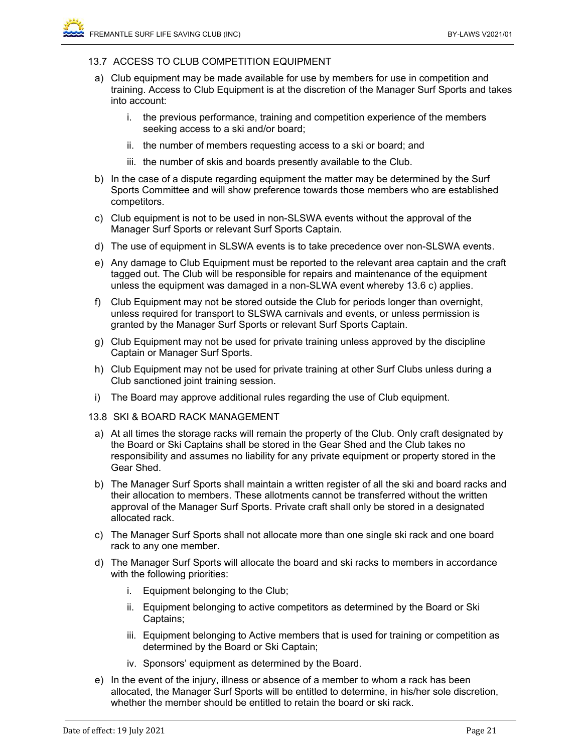#### 13.7 ACCESS TO CLUB COMPETITION EQUIPMENT

- a) Club equipment may be made available for use by members for use in competition and training. Access to Club Equipment is at the discretion of the Manager Surf Sports and takes into account:
	- i. the previous performance, training and competition experience of the members seeking access to a ski and/or board;
	- ii. the number of members requesting access to a ski or board; and
	- iii. the number of skis and boards presently available to the Club.
- b) In the case of a dispute regarding equipment the matter may be determined by the Surf Sports Committee and will show preference towards those members who are established competitors.
- c) Club equipment is not to be used in non-SLSWA events without the approval of the Manager Surf Sports or relevant Surf Sports Captain.
- d) The use of equipment in SLSWA events is to take precedence over non-SLSWA events.
- e) Any damage to Club Equipment must be reported to the relevant area captain and the craft tagged out. The Club will be responsible for repairs and maintenance of the equipment unless the equipment was damaged in a non-SLWA event whereby 13.6 c) applies.
- f) Club Equipment may not be stored outside the Club for periods longer than overnight, unless required for transport to SLSWA carnivals and events, or unless permission is granted by the Manager Surf Sports or relevant Surf Sports Captain.
- g) Club Equipment may not be used for private training unless approved by the discipline Captain or Manager Surf Sports.
- h) Club Equipment may not be used for private training at other Surf Clubs unless during a Club sanctioned joint training session.
- i) The Board may approve additional rules regarding the use of Club equipment.
- 13.8 SKI & BOARD RACK MANAGEMENT
	- a) At all times the storage racks will remain the property of the Club. Only craft designated by the Board or Ski Captains shall be stored in the Gear Shed and the Club takes no responsibility and assumes no liability for any private equipment or property stored in the Gear Shed.
	- b) The Manager Surf Sports shall maintain a written register of all the ski and board racks and their allocation to members. These allotments cannot be transferred without the written approval of the Manager Surf Sports. Private craft shall only be stored in a designated allocated rack.
	- c) The Manager Surf Sports shall not allocate more than one single ski rack and one board rack to any one member.
	- d) The Manager Surf Sports will allocate the board and ski racks to members in accordance with the following priorities:
		- i. Equipment belonging to the Club;
		- ii. Equipment belonging to active competitors as determined by the Board or Ski Captains;
		- iii. Equipment belonging to Active members that is used for training or competition as determined by the Board or Ski Captain;
		- iv. Sponsors' equipment as determined by the Board.
- e) In the event of the injury, illness or absence of a member to whom a rack has been allocated, the Manager Surf Sports will be entitled to determine, in his/her sole discretion, whether the member should be entitled to retain the board or ski rack.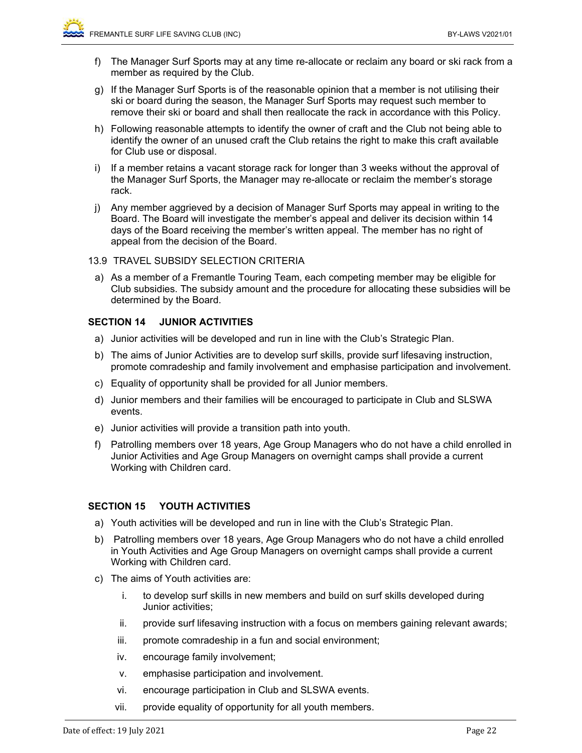- f) The Manager Surf Sports may at any time re-allocate or reclaim any board or ski rack from a member as required by the Club.
- g) If the Manager Surf Sports is of the reasonable opinion that a member is not utilising their ski or board during the season, the Manager Surf Sports may request such member to remove their ski or board and shall then reallocate the rack in accordance with this Policy.
- h) Following reasonable attempts to identify the owner of craft and the Club not being able to identify the owner of an unused craft the Club retains the right to make this craft available for Club use or disposal.
- i) If a member retains a vacant storage rack for longer than 3 weeks without the approval of the Manager Surf Sports, the Manager may re-allocate or reclaim the member's storage rack.
- j) Any member aggrieved by a decision of Manager Surf Sports may appeal in writing to the Board. The Board will investigate the member's appeal and deliver its decision within 14 days of the Board receiving the member's written appeal. The member has no right of appeal from the decision of the Board.
- 13.9 TRAVEL SUBSIDY SELECTION CRITERIA
- a) As a member of a Fremantle Touring Team, each competing member may be eligible for Club subsidies. The subsidy amount and the procedure for allocating these subsidies will be determined by the Board.

## **SECTION 14 JUNIOR ACTIVITIES**

- a) Junior activities will be developed and run in line with the Club's Strategic Plan.
- b) The aims of Junior Activities are to develop surf skills, provide surf lifesaving instruction, promote comradeship and family involvement and emphasise participation and involvement.
- c) Equality of opportunity shall be provided for all Junior members.
- d) Junior members and their families will be encouraged to participate in Club and SLSWA events.
- e) Junior activities will provide a transition path into youth.
- f) Patrolling members over 18 years, Age Group Managers who do not have a child enrolled in Junior Activities and Age Group Managers on overnight camps shall provide a current Working with Children card.

## **SECTION 15 YOUTH ACTIVITIES**

- a) Youth activities will be developed and run in line with the Club's Strategic Plan.
- b) Patrolling members over 18 years, Age Group Managers who do not have a child enrolled in Youth Activities and Age Group Managers on overnight camps shall provide a current Working with Children card.
- c) The aims of Youth activities are:
	- i. to develop surf skills in new members and build on surf skills developed during Junior activities;
	- ii. provide surf lifesaving instruction with a focus on members gaining relevant awards;
	- iii. promote comradeship in a fun and social environment;
	- iv. encourage family involvement;
	- v. emphasise participation and involvement.
	- vi. encourage participation in Club and SLSWA events.
	- vii. provide equality of opportunity for all youth members.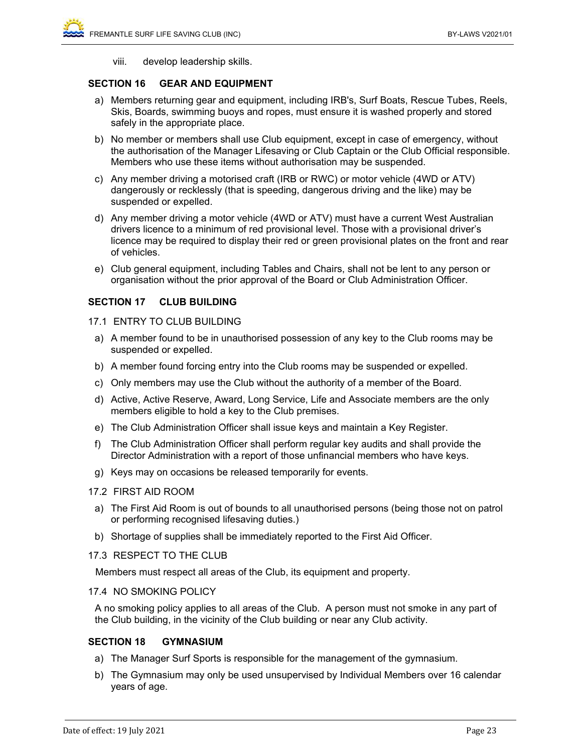viii. develop leadership skills.

## **SECTION 16 GEAR AND EQUIPMENT**

- a) Members returning gear and equipment, including IRB's, Surf Boats, Rescue Tubes, Reels, Skis, Boards, swimming buoys and ropes, must ensure it is washed properly and stored safely in the appropriate place.
- b) No member or members shall use Club equipment, except in case of emergency, without the authorisation of the Manager Lifesaving or Club Captain or the Club Official responsible. Members who use these items without authorisation may be suspended.
- c) Any member driving a motorised craft (IRB or RWC) or motor vehicle (4WD or ATV) dangerously or recklessly (that is speeding, dangerous driving and the like) may be suspended or expelled.
- d) Any member driving a motor vehicle (4WD or ATV) must have a current West Australian drivers licence to a minimum of red provisional level. Those with a provisional driver's licence may be required to display their red or green provisional plates on the front and rear of vehicles.
- e) Club general equipment, including Tables and Chairs, shall not be lent to any person or organisation without the prior approval of the Board or Club Administration Officer.

## **SECTION 17 CLUB BUILDING**

- 17.1 ENTRY TO CLUB BUILDING
	- a) A member found to be in unauthorised possession of any key to the Club rooms may be suspended or expelled.
- b) A member found forcing entry into the Club rooms may be suspended or expelled.
- c) Only members may use the Club without the authority of a member of the Board.
- d) Active, Active Reserve, Award, Long Service, Life and Associate members are the only members eligible to hold a key to the Club premises.
- e) The Club Administration Officer shall issue keys and maintain a Key Register.
- f) The Club Administration Officer shall perform regular key audits and shall provide the Director Administration with a report of those unfinancial members who have keys.
- g) Keys may on occasions be released temporarily for events.

#### 17.2 FIRST AID ROOM

- a) The First Aid Room is out of bounds to all unauthorised persons (being those not on patrol or performing recognised lifesaving duties.)
- b) Shortage of supplies shall be immediately reported to the First Aid Officer.

#### 17.3 RESPECT TO THE CLUB

Members must respect all areas of the Club, its equipment and property.

#### 17.4 NO SMOKING POLICY

A no smoking policy applies to all areas of the Club. A person must not smoke in any part of the Club building, in the vicinity of the Club building or near any Club activity.

#### **SECTION 18 GYMNASIUM**

- a) The Manager Surf Sports is responsible for the management of the gymnasium.
- b) The Gymnasium may only be used unsupervised by Individual Members over 16 calendar years of age.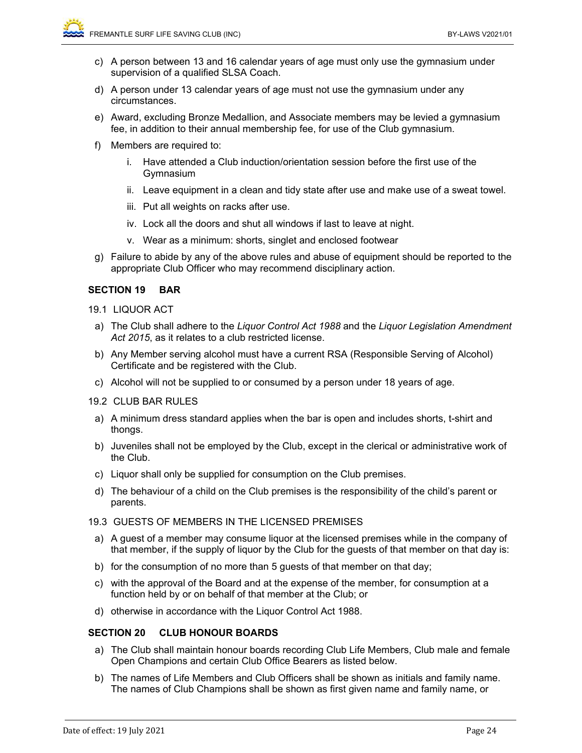- c) A person between 13 and 16 calendar years of age must only use the gymnasium under supervision of a qualified SLSA Coach.
- d) A person under 13 calendar years of age must not use the gymnasium under any circumstances.
- e) Award, excluding Bronze Medallion, and Associate members may be levied a gymnasium fee, in addition to their annual membership fee, for use of the Club gymnasium.
- f) Members are required to:
	- i. Have attended a Club induction/orientation session before the first use of the Gymnasium
	- ii. Leave equipment in a clean and tidy state after use and make use of a sweat towel.
	- iii. Put all weights on racks after use.
	- iv. Lock all the doors and shut all windows if last to leave at night.
	- v. Wear as a minimum: shorts, singlet and enclosed footwear
- g) Failure to abide by any of the above rules and abuse of equipment should be reported to the appropriate Club Officer who may recommend disciplinary action.

#### **SECTION 19 BAR**

- 19.1 LIQUOR ACT
- a) The Club shall adhere to the *Liquor Control Act 1988* and the *Liquor Legislation Amendment*  Act 2015, as it relates to a club restricted license.
- b) Any Member serving alcohol must have a current RSA (Responsible Serving of Alcohol) Certificate and be registered with the Club.
- c) Alcohol will not be supplied to or consumed by a person under 18 years of age.
- 19.2 CLUB BAR RULES
- a) A minimum dress standard applies when the bar is open and includes shorts, t-shirt and thongs.
- b) Juveniles shall not be employed by the Club, except in the clerical or administrative work of the Club.
- c) Liquor shall only be supplied for consumption on the Club premises.
- d) The behaviour of a child on the Club premises is the responsibility of the child's parent or parents.

#### 19.3 GUESTS OF MEMBERS IN THE LICENSED PREMISES

- a) A guest of a member may consume liquor at the licensed premises while in the company of that member, if the supply of liquor by the Club for the guests of that member on that day is:
- b) for the consumption of no more than 5 guests of that member on that day;
- c) with the approval of the Board and at the expense of the member, for consumption at a function held by or on behalf of that member at the Club; or
- d) otherwise in accordance with the Liquor Control Act 1988.

#### **SECTION 20 CLUB HONOUR BOARDS**

- a) The Club shall maintain honour boards recording Club Life Members, Club male and female Open Champions and certain Club Office Bearers as listed below.
- b) The names of Life Members and Club Officers shall be shown as initials and family name. The names of Club Champions shall be shown as first given name and family name, or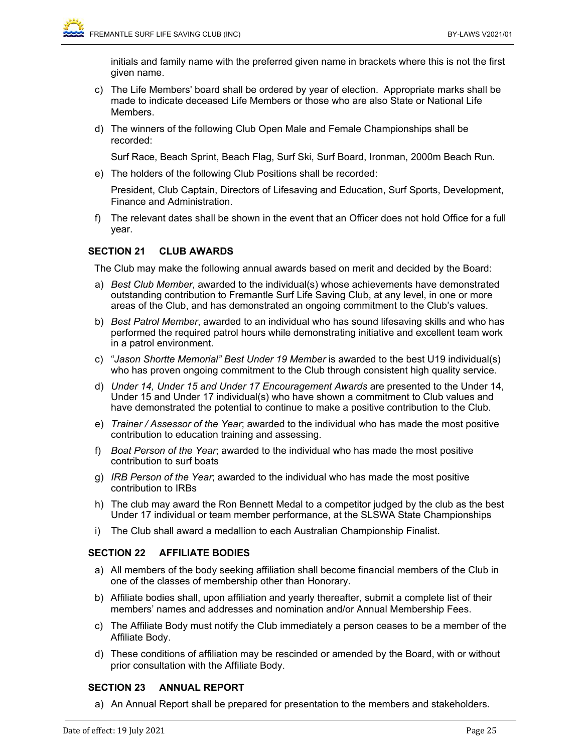initials and family name with the preferred given name in brackets where this is not the first given name.

- c) The Life Members' board shall be ordered by year of election. Appropriate marks shall be made to indicate deceased Life Members or those who are also State or National Life **Members**
- d) The winners of the following Club Open Male and Female Championships shall be recorded:

Surf Race, Beach Sprint, Beach Flag, Surf Ski, Surf Board, Ironman, 2000m Beach Run.

e) The holders of the following Club Positions shall be recorded:

President, Club Captain, Directors of Lifesaving and Education, Surf Sports, Development, Finance and Administration.

f) The relevant dates shall be shown in the event that an Officer does not hold Office for a full year.

## **SECTION 21 CLUB AWARDS**

The Club may make the following annual awards based on merit and decided by the Board:

- a) *Best Club Member*, awarded to the individual(s) whose achievements have demonstrated outstanding contribution to Fremantle Surf Life Saving Club, at any level, in one or more areas of the Club, and has demonstrated an ongoing commitment to the Club's values.
- b) *Best Patrol Member*, awarded to an individual who has sound lifesaving skills and who has performed the required patrol hours while demonstrating initiative and excellent team work in a patrol environment.
- c) "*Jason Shortte Memorial" Best Under 19 Member* is awarded to the best U19 individual(s) who has proven ongoing commitment to the Club through consistent high quality service.
- d) *Under 14, Under 15 and Under 17 Encouragement Awards* are presented to the Under 14, Under 15 and Under 17 individual(s) who have shown a commitment to Club values and have demonstrated the potential to continue to make a positive contribution to the Club.
- e) *Trainer / Assessor of the Year*; awarded to the individual who has made the most positive contribution to education training and assessing.
- f) *Boat Person of the Year*; awarded to the individual who has made the most positive contribution to surf boats
- g) *IRB Person of the Year*; awarded to the individual who has made the most positive contribution to IRBs
- h) The club may award the Ron Bennett Medal to a competitor judged by the club as the best Under 17 individual or team member performance, at the SLSWA State Championships
- i) The Club shall award a medallion to each Australian Championship Finalist.

## **SECTION 22 AFFILIATE BODIES**

- a) All members of the body seeking affiliation shall become financial members of the Club in one of the classes of membership other than Honorary.
- b) Affiliate bodies shall, upon affiliation and yearly thereafter, submit a complete list of their members' names and addresses and nomination and/or Annual Membership Fees.
- c) The Affiliate Body must notify the Club immediately a person ceases to be a member of the Affiliate Body.
- d) These conditions of affiliation may be rescinded or amended by the Board, with or without prior consultation with the Affiliate Body.

## **SECTION 23 ANNUAL REPORT**

a) An Annual Report shall be prepared for presentation to the members and stakeholders.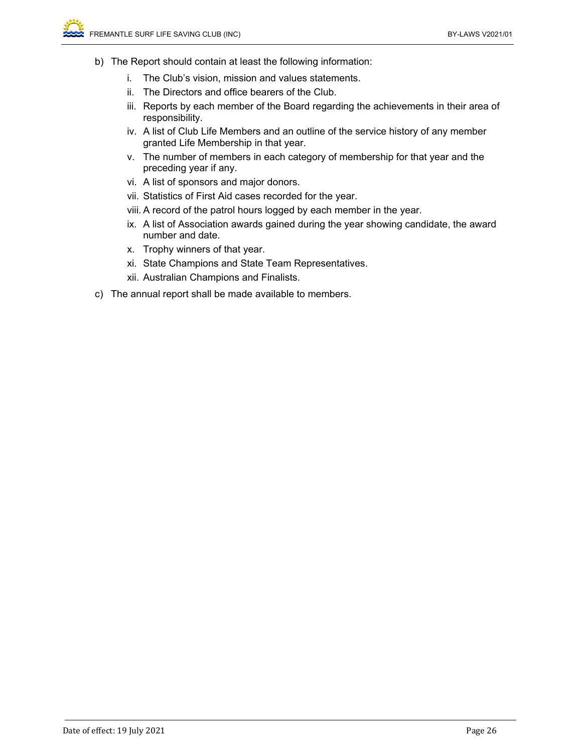- b) The Report should contain at least the following information:
	- i. The Club's vision, mission and values statements.
	- ii. The Directors and office bearers of the Club.
	- iii. Reports by each member of the Board regarding the achievements in their area of responsibility.
	- iv. A list of Club Life Members and an outline of the service history of any member granted Life Membership in that year.
	- v. The number of members in each category of membership for that year and the preceding year if any.
	- vi. A list of sponsors and major donors.
	- vii. Statistics of First Aid cases recorded for the year.
	- viii. A record of the patrol hours logged by each member in the year.
	- ix. A list of Association awards gained during the year showing candidate, the award number and date.
	- x. Trophy winners of that year.
	- xi. State Champions and State Team Representatives.
	- xii. Australian Champions and Finalists.
- c) The annual report shall be made available to members.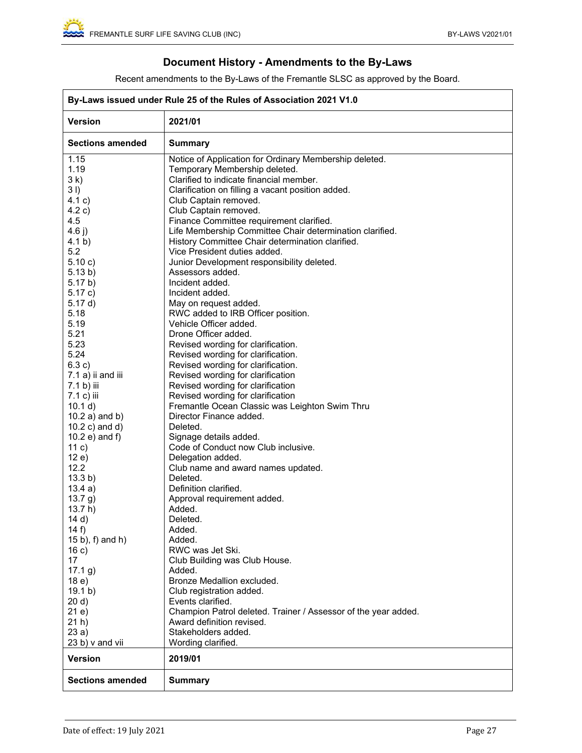## **Document History - Amendments to the By-Laws**

Recent amendments to the By-Laws of the Fremantle SLSC as approved by the Board.

| By-Laws issued under Rule 25 of the Rules of Association 2021 V1.0 |                                                                          |  |  |
|--------------------------------------------------------------------|--------------------------------------------------------------------------|--|--|
| <b>Version</b>                                                     | 2021/01                                                                  |  |  |
| <b>Sections amended</b>                                            | <b>Summary</b>                                                           |  |  |
| 1.15                                                               | Notice of Application for Ordinary Membership deleted.                   |  |  |
| 1.19                                                               | Temporary Membership deleted.                                            |  |  |
| 3k)                                                                | Clarified to indicate financial member.                                  |  |  |
| 31)                                                                | Clarification on filling a vacant position added.                        |  |  |
| 4.1 c)                                                             | Club Captain removed.                                                    |  |  |
| 4.2 c)                                                             | Club Captain removed.                                                    |  |  |
| 4.5                                                                | Finance Committee requirement clarified.                                 |  |  |
| 4.6 $j)$                                                           | Life Membership Committee Chair determination clarified.                 |  |  |
| 4.1 b)                                                             | History Committee Chair determination clarified.                         |  |  |
| 5.2                                                                | Vice President duties added.                                             |  |  |
| 5.10 c)                                                            | Junior Development responsibility deleted.                               |  |  |
| 5.13 b)                                                            | Assessors added.                                                         |  |  |
| 5.17 b)                                                            | Incident added.                                                          |  |  |
| 5.17c)                                                             | Incident added.                                                          |  |  |
| 5.17 d)<br>5.18                                                    | May on request added.                                                    |  |  |
| 5.19                                                               | RWC added to IRB Officer position.<br>Vehicle Officer added.             |  |  |
| 5.21                                                               | Drone Officer added.                                                     |  |  |
| 5.23                                                               |                                                                          |  |  |
| 5.24                                                               | Revised wording for clarification.<br>Revised wording for clarification. |  |  |
| 6.3 c)                                                             | Revised wording for clarification.                                       |  |  |
| 7.1 a) ii and iii                                                  | Revised wording for clarification                                        |  |  |
| 7.1 b) iii                                                         | Revised wording for clarification                                        |  |  |
| 7.1 c) iii                                                         | Revised wording for clarification                                        |  |  |
| 10.1 d)                                                            | Fremantle Ocean Classic was Leighton Swim Thru                           |  |  |
| $10.2$ a) and b)                                                   | Director Finance added.                                                  |  |  |
| $10.2 c)$ and d)                                                   | Deleted.                                                                 |  |  |
| $10.2 e)$ and f)                                                   | Signage details added.                                                   |  |  |
| 11 c)                                                              | Code of Conduct now Club inclusive.                                      |  |  |
| 12e)                                                               | Delegation added.                                                        |  |  |
| 12.2                                                               | Club name and award names updated.                                       |  |  |
| 13.3 b)                                                            | Deleted.                                                                 |  |  |
| 13.4a)                                                             | Definition clarified.                                                    |  |  |
| 13.7 g)                                                            | Approval requirement added.                                              |  |  |
| 13.7 h)                                                            | Added.                                                                   |  |  |
| 14 d)                                                              | Deleted.                                                                 |  |  |
| 14 $f$ )                                                           | Added.                                                                   |  |  |
| $(15 b)$ , f) and h)                                               | Added.                                                                   |  |  |
| 16c)                                                               | RWC was Jet Ski.                                                         |  |  |
| 17                                                                 | Club Building was Club House.                                            |  |  |
| 17.1 g)                                                            | Added.                                                                   |  |  |
| 18e)                                                               | Bronze Medallion excluded.                                               |  |  |
| 19.1 b)                                                            | Club registration added.                                                 |  |  |
| 20 d)                                                              | Events clarified.                                                        |  |  |
| 21e)                                                               | Champion Patrol deleted. Trainer / Assessor of the year added.           |  |  |
| $21h$ )                                                            | Award definition revised.                                                |  |  |
| 23a)                                                               | Stakeholders added.                                                      |  |  |
| 23 b) v and vii                                                    | Wording clarified.                                                       |  |  |
| <b>Version</b>                                                     | 2019/01                                                                  |  |  |
| <b>Sections amended</b>                                            | <b>Summary</b>                                                           |  |  |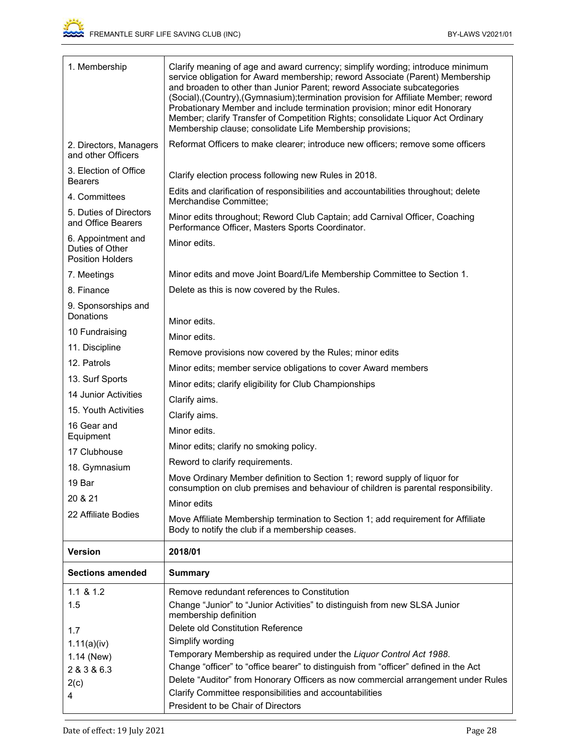| 1. Membership                                                          | Clarify meaning of age and award currency; simplify wording; introduce minimum<br>service obligation for Award membership; reword Associate (Parent) Membership<br>and broaden to other than Junior Parent; reword Associate subcategories<br>(Social), (Country), (Gymnasium); termination provision for Affiliate Member; reword<br>Probationary Member and include termination provision; minor edit Honorary<br>Member; clarify Transfer of Competition Rights; consolidate Liquor Act Ordinary<br>Membership clause; consolidate Life Membership provisions; |  |  |
|------------------------------------------------------------------------|-------------------------------------------------------------------------------------------------------------------------------------------------------------------------------------------------------------------------------------------------------------------------------------------------------------------------------------------------------------------------------------------------------------------------------------------------------------------------------------------------------------------------------------------------------------------|--|--|
| 2. Directors, Managers<br>and other Officers                           | Reformat Officers to make clearer; introduce new officers; remove some officers                                                                                                                                                                                                                                                                                                                                                                                                                                                                                   |  |  |
| 3. Election of Office<br><b>Bearers</b>                                | Clarify election process following new Rules in 2018.                                                                                                                                                                                                                                                                                                                                                                                                                                                                                                             |  |  |
| 4. Committees                                                          | Edits and clarification of responsibilities and accountabilities throughout; delete<br>Merchandise Committee;                                                                                                                                                                                                                                                                                                                                                                                                                                                     |  |  |
| 5. Duties of Directors<br>and Office Bearers                           | Minor edits throughout; Reword Club Captain; add Carnival Officer, Coaching<br>Performance Officer, Masters Sports Coordinator.                                                                                                                                                                                                                                                                                                                                                                                                                                   |  |  |
| 6. Appointment and<br>Duties of Other<br><b>Position Holders</b>       | Minor edits.                                                                                                                                                                                                                                                                                                                                                                                                                                                                                                                                                      |  |  |
| 7. Meetings                                                            | Minor edits and move Joint Board/Life Membership Committee to Section 1.                                                                                                                                                                                                                                                                                                                                                                                                                                                                                          |  |  |
| 8. Finance                                                             | Delete as this is now covered by the Rules.                                                                                                                                                                                                                                                                                                                                                                                                                                                                                                                       |  |  |
| 9. Sponsorships and<br>Donations                                       |                                                                                                                                                                                                                                                                                                                                                                                                                                                                                                                                                                   |  |  |
| Minor edits.<br>10 Fundraising<br>Minor edits.                         |                                                                                                                                                                                                                                                                                                                                                                                                                                                                                                                                                                   |  |  |
| 11. Discipline                                                         |                                                                                                                                                                                                                                                                                                                                                                                                                                                                                                                                                                   |  |  |
| Remove provisions now covered by the Rules; minor edits<br>12. Patrols |                                                                                                                                                                                                                                                                                                                                                                                                                                                                                                                                                                   |  |  |
| 13. Surf Sports                                                        | Minor edits; member service obligations to cover Award members<br>Minor edits; clarify eligibility for Club Championships                                                                                                                                                                                                                                                                                                                                                                                                                                         |  |  |
| 14 Junior Activities                                                   | Clarify aims.                                                                                                                                                                                                                                                                                                                                                                                                                                                                                                                                                     |  |  |
| 15. Youth Activities                                                   | Clarify aims.                                                                                                                                                                                                                                                                                                                                                                                                                                                                                                                                                     |  |  |
| 16 Gear and                                                            | Minor edits.                                                                                                                                                                                                                                                                                                                                                                                                                                                                                                                                                      |  |  |
| Equipment                                                              | Minor edits; clarify no smoking policy.                                                                                                                                                                                                                                                                                                                                                                                                                                                                                                                           |  |  |
| 17 Clubhouse                                                           | Reword to clarify requirements.                                                                                                                                                                                                                                                                                                                                                                                                                                                                                                                                   |  |  |
| 18. Gymnasium                                                          | Move Ordinary Member definition to Section 1; reword supply of liquor for                                                                                                                                                                                                                                                                                                                                                                                                                                                                                         |  |  |
| 19 Bar                                                                 | consumption on club premises and behaviour of children is parental responsibility.                                                                                                                                                                                                                                                                                                                                                                                                                                                                                |  |  |
| 20 & 21                                                                | Minor edits                                                                                                                                                                                                                                                                                                                                                                                                                                                                                                                                                       |  |  |
| 22 Affiliate Bodies                                                    | Move Affiliate Membership termination to Section 1; add requirement for Affiliate<br>Body to notify the club if a membership ceases.                                                                                                                                                                                                                                                                                                                                                                                                                              |  |  |
| <b>Version</b>                                                         | 2018/01                                                                                                                                                                                                                                                                                                                                                                                                                                                                                                                                                           |  |  |
| <b>Sections amended</b>                                                | <b>Summary</b>                                                                                                                                                                                                                                                                                                                                                                                                                                                                                                                                                    |  |  |
| $1.1 \& 1.2$                                                           | Remove redundant references to Constitution                                                                                                                                                                                                                                                                                                                                                                                                                                                                                                                       |  |  |
| 1.5                                                                    | Change "Junior" to "Junior Activities" to distinguish from new SLSA Junior<br>membership definition                                                                                                                                                                                                                                                                                                                                                                                                                                                               |  |  |
| 1.7                                                                    | Delete old Constitution Reference                                                                                                                                                                                                                                                                                                                                                                                                                                                                                                                                 |  |  |
| Simplify wording<br>1.11(a)(iv)                                        |                                                                                                                                                                                                                                                                                                                                                                                                                                                                                                                                                                   |  |  |
| 1.14 (New)                                                             | Temporary Membership as required under the Liquor Control Act 1988.                                                                                                                                                                                                                                                                                                                                                                                                                                                                                               |  |  |
| 2 & 3 & 6.3                                                            | Change "officer" to "office bearer" to distinguish from "officer" defined in the Act                                                                                                                                                                                                                                                                                                                                                                                                                                                                              |  |  |
| 2(c)                                                                   | Delete "Auditor" from Honorary Officers as now commercial arrangement under Rules<br>Clarify Committee responsibilities and accountabilities                                                                                                                                                                                                                                                                                                                                                                                                                      |  |  |
| 4                                                                      | President to be Chair of Directors                                                                                                                                                                                                                                                                                                                                                                                                                                                                                                                                |  |  |